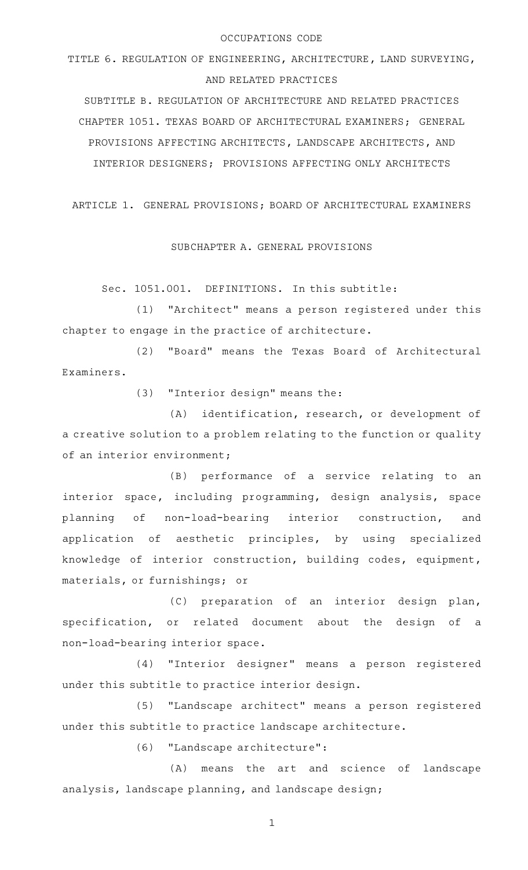#### OCCUPATIONS CODE

TITLE 6. REGULATION OF ENGINEERING, ARCHITECTURE, LAND SURVEYING, AND RELATED PRACTICES

SUBTITLE B. REGULATION OF ARCHITECTURE AND RELATED PRACTICES CHAPTER 1051. TEXAS BOARD OF ARCHITECTURAL EXAMINERS; GENERAL PROVISIONS AFFECTING ARCHITECTS, LANDSCAPE ARCHITECTS, AND INTERIOR DESIGNERS; PROVISIONS AFFECTING ONLY ARCHITECTS

ARTICLE 1. GENERAL PROVISIONS; BOARD OF ARCHITECTURAL EXAMINERS

SUBCHAPTER A. GENERAL PROVISIONS

Sec. 1051.001. DEFINITIONS. In this subtitle:

(1) "Architect" means a person registered under this chapter to engage in the practice of architecture.

(2) "Board" means the Texas Board of Architectural Examiners.

(3) "Interior design" means the:

(A) identification, research, or development of a creative solution to a problem relating to the function or quality of an interior environment;

(B) performance of a service relating to an interior space, including programming, design analysis, space planning of non-load-bearing interior construction, and application of aesthetic principles, by using specialized knowledge of interior construction, building codes, equipment, materials, or furnishings; or

(C) preparation of an interior design plan, specification, or related document about the design of a non-load-bearing interior space.

(4) "Interior designer" means a person registered under this subtitle to practice interior design.

(5) "Landscape architect" means a person registered under this subtitle to practice landscape architecture.

(6) "Landscape architecture":

(A) means the art and science of landscape analysis, landscape planning, and landscape design;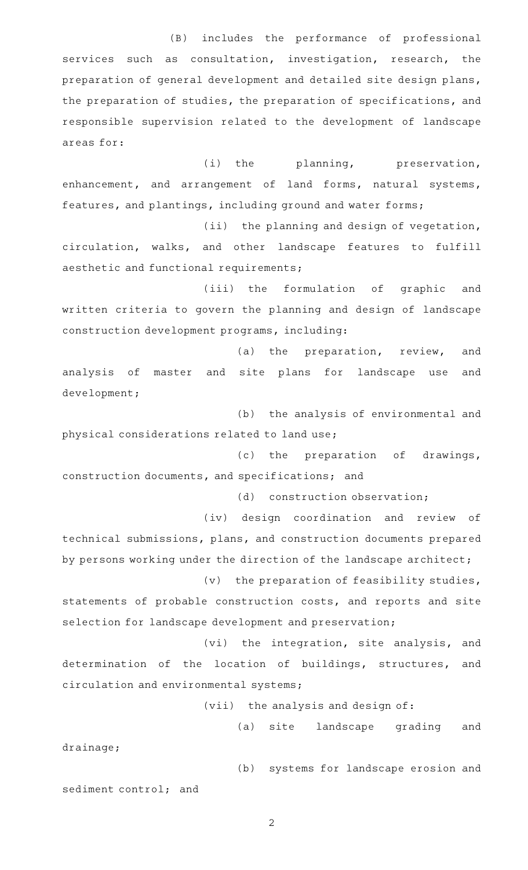(B) includes the performance of professional services such as consultation, investigation, research, the preparation of general development and detailed site design plans, the preparation of studies, the preparation of specifications, and responsible supervision related to the development of landscape areas for:

(i) the planning, preservation, enhancement, and arrangement of land forms, natural systems, features, and plantings, including ground and water forms;

(ii) the planning and design of vegetation, circulation, walks, and other landscape features to fulfill aesthetic and functional requirements;

(iii) the formulation of graphic and written criteria to govern the planning and design of landscape construction development programs, including:

(a) the preparation, review, and analysis of master and site plans for landscape use and development;

(b) the analysis of environmental and physical considerations related to land use;

(c) the preparation of drawings, construction documents, and specifications; and

(d) construction observation;

(iv) design coordination and review of technical submissions, plans, and construction documents prepared by persons working under the direction of the landscape architect;

 $(v)$  the preparation of feasibility studies,

statements of probable construction costs, and reports and site selection for landscape development and preservation;

(vi) the integration, site analysis, and determination of the location of buildings, structures, and circulation and environmental systems;

(vii) the analysis and design of:

(a) site landscape grading and drainage;

(b) systems for landscape erosion and sediment control; and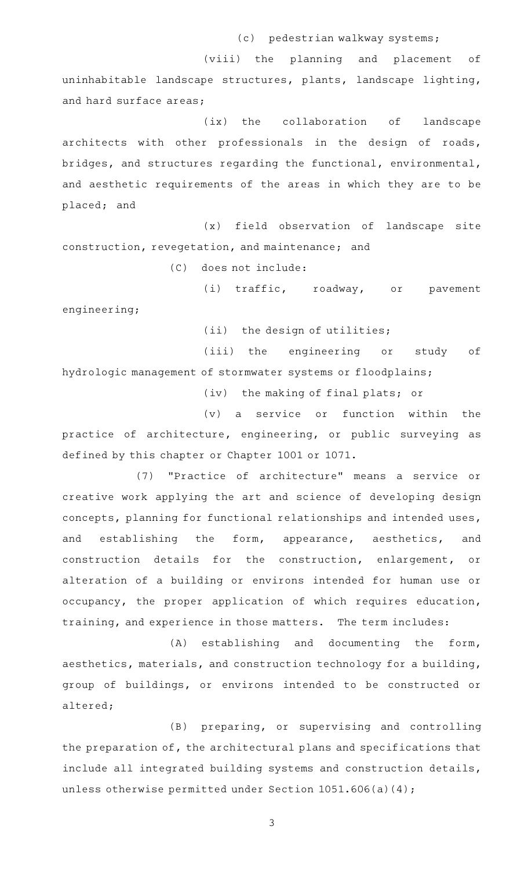(c) pedestrian walkway systems;

(viii) the planning and placement of uninhabitable landscape structures, plants, landscape lighting, and hard surface areas;

 $(ix)$  the collaboration of landscape architects with other professionals in the design of roads, bridges, and structures regarding the functional, environmental, and aesthetic requirements of the areas in which they are to be placed; and

(x) field observation of landscape site construction, revegetation, and maintenance; and

(C) does not include:

(i) traffic, roadway, or pavement engineering;

 $(iii)$  the design of utilities;

(iii) the engineering or study of hydrologic management of stormwater systems or floodplains;

(iv) the making of final plats; or

 $(v)$  a service or function within the practice of architecture, engineering, or public surveying as defined by this chapter or Chapter 1001 or 1071.

(7) "Practice of architecture" means a service or creative work applying the art and science of developing design concepts, planning for functional relationships and intended uses, and establishing the form, appearance, aesthetics, and construction details for the construction, enlargement, or alteration of a building or environs intended for human use or occupancy, the proper application of which requires education, training, and experience in those matters. The term includes:

(A) establishing and documenting the form, aesthetics, materials, and construction technology for a building, group of buildings, or environs intended to be constructed or altered;

(B) preparing, or supervising and controlling the preparation of, the architectural plans and specifications that include all integrated building systems and construction details, unless otherwise permitted under Section 1051.606(a)(4);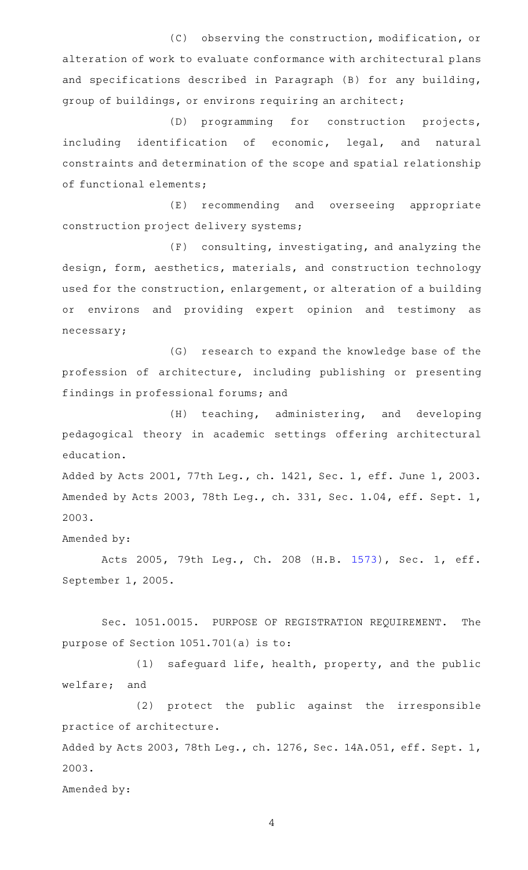(C) observing the construction, modification, or alteration of work to evaluate conformance with architectural plans and specifications described in Paragraph (B) for any building, group of buildings, or environs requiring an architect;

(D) programming for construction projects, including identification of economic, legal, and natural constraints and determination of the scope and spatial relationship of functional elements;

(E) recommending and overseeing appropriate construction project delivery systems;

 $(F)$  consulting, investigating, and analyzing the design, form, aesthetics, materials, and construction technology used for the construction, enlargement, or alteration of a building or environs and providing expert opinion and testimony as necessary;

(G) research to expand the knowledge base of the profession of architecture, including publishing or presenting findings in professional forums; and

(H) teaching, administering, and developing pedagogical theory in academic settings offering architectural education.

Added by Acts 2001, 77th Leg., ch. 1421, Sec. 1, eff. June 1, 2003. Amended by Acts 2003, 78th Leg., ch. 331, Sec. 1.04, eff. Sept. 1, 2003.

Amended by:

Acts 2005, 79th Leg., Ch. 208 (H.B. [1573](http://www.legis.state.tx.us/tlodocs/79R/billtext/html/HB01573F.HTM)), Sec. 1, eff. September 1, 2005.

Sec. 1051.0015. PURPOSE OF REGISTRATION REQUIREMENT. The purpose of Section 1051.701(a) is to:

 $(1)$  safeguard life, health, property, and the public welfare; and

(2) protect the public against the irresponsible practice of architecture.

Added by Acts 2003, 78th Leg., ch. 1276, Sec. 14A.051, eff. Sept. 1, 2003.

Amended by: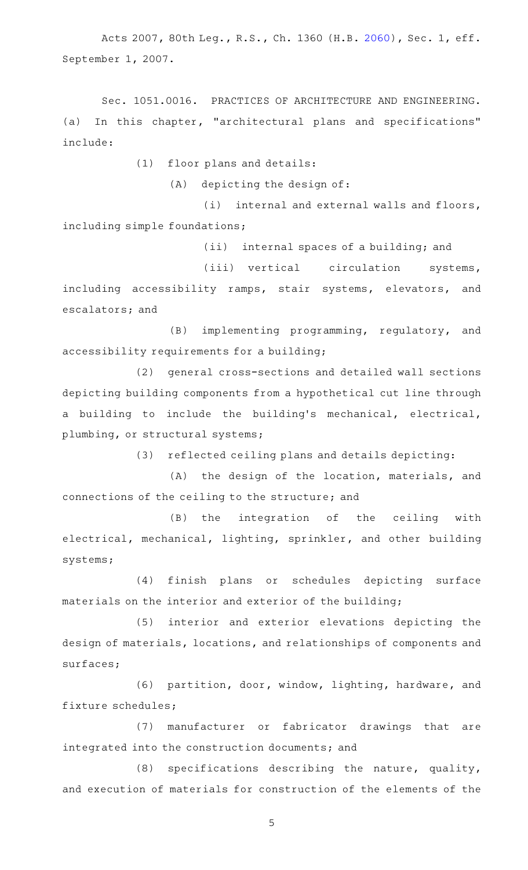Acts 2007, 80th Leg., R.S., Ch. 1360 (H.B. [2060](http://www.legis.state.tx.us/tlodocs/80R/billtext/html/HB02060F.HTM)), Sec. 1, eff. September 1, 2007.

Sec. 1051.0016. PRACTICES OF ARCHITECTURE AND ENGINEERING. (a) In this chapter, "architectural plans and specifications" include:

 $(1)$  floor plans and details:

(A) depicting the design of:

 $(i)$  internal and external walls and floors, including simple foundations;

(ii) internal spaces of a building; and

(iii) vertical circulation systems, including accessibility ramps, stair systems, elevators, and escalators; and

(B) implementing programming, regulatory, and accessibility requirements for a building;

(2) general cross-sections and detailed wall sections depicting building components from a hypothetical cut line through a building to include the building's mechanical, electrical, plumbing, or structural systems;

(3) reflected ceiling plans and details depicting:

(A) the design of the location, materials, and connections of the ceiling to the structure; and

(B) the integration of the ceiling with electrical, mechanical, lighting, sprinkler, and other building systems;

(4) finish plans or schedules depicting surface materials on the interior and exterior of the building;

(5) interior and exterior elevations depicting the design of materials, locations, and relationships of components and surfaces;

(6) partition, door, window, lighting, hardware, and fixture schedules;

(7) manufacturer or fabricator drawings that are integrated into the construction documents; and

 $(8)$  specifications describing the nature, quality, and execution of materials for construction of the elements of the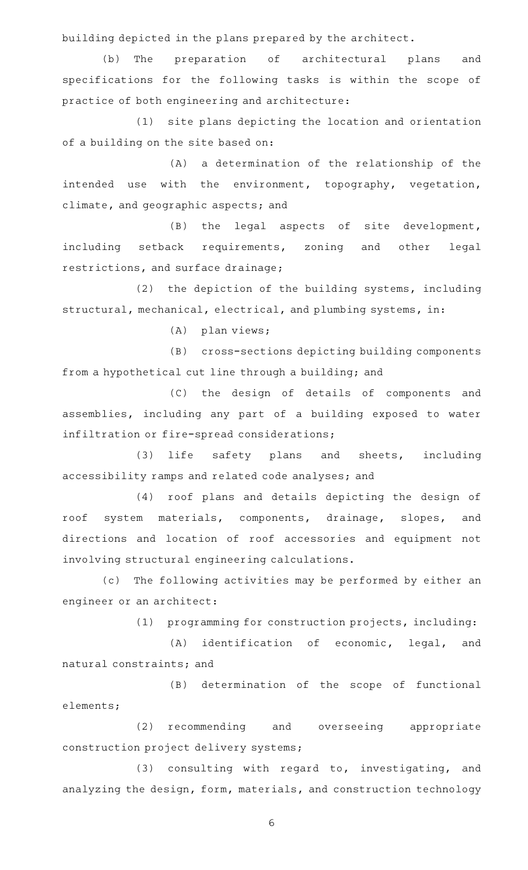building depicted in the plans prepared by the architect.

(b) The preparation of architectural plans and specifications for the following tasks is within the scope of practice of both engineering and architecture:

(1) site plans depicting the location and orientation of a building on the site based on:

(A) a determination of the relationship of the intended use with the environment, topography, vegetation, climate, and geographic aspects; and

(B) the legal aspects of site development, including setback requirements, zoning and other legal restrictions, and surface drainage;

(2) the depiction of the building systems, including structural, mechanical, electrical, and plumbing systems, in:

 $(A)$  plan views;

(B) cross-sections depicting building components from a hypothetical cut line through a building; and

(C) the design of details of components and assemblies, including any part of a building exposed to water infiltration or fire-spread considerations;

(3) life safety plans and sheets, including accessibility ramps and related code analyses; and

(4) roof plans and details depicting the design of roof system materials, components, drainage, slopes, and directions and location of roof accessories and equipment not involving structural engineering calculations.

(c) The following activities may be performed by either an engineer or an architect:

(1) programming for construction projects, including:

(A) identification of economic, legal, and natural constraints; and

(B) determination of the scope of functional elements;

(2) recommending and overseeing appropriate construction project delivery systems;

 $(3)$  consulting with regard to, investigating, and analyzing the design, form, materials, and construction technology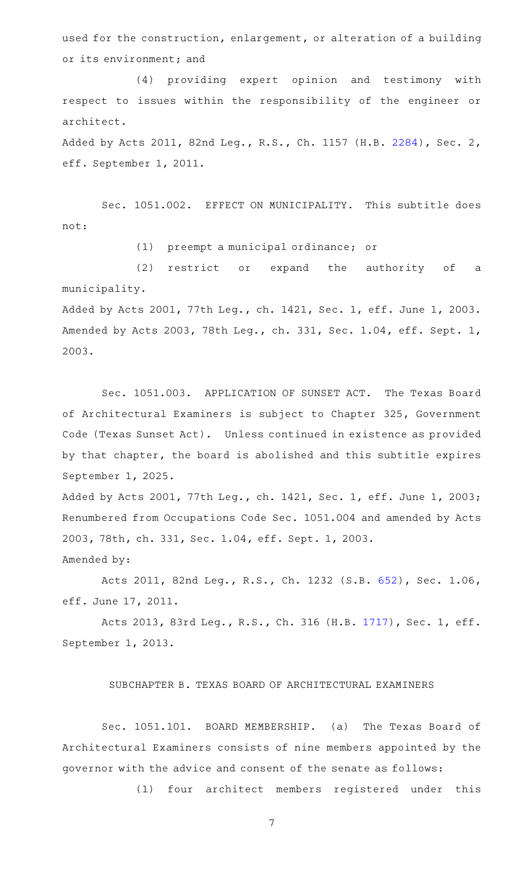used for the construction, enlargement, or alteration of a building or its environment; and

(4) providing expert opinion and testimony with respect to issues within the responsibility of the engineer or architect.

Added by Acts 2011, 82nd Leg., R.S., Ch. 1157 (H.B. [2284\)](http://www.legis.state.tx.us/tlodocs/82R/billtext/html/HB02284F.HTM), Sec. 2, eff. September 1, 2011.

Sec. 1051.002. EFFECT ON MUNICIPALITY. This subtitle does not:

(1) preempt a municipal ordinance; or

(2) restrict or expand the authority of a municipality.

Added by Acts 2001, 77th Leg., ch. 1421, Sec. 1, eff. June 1, 2003. Amended by Acts 2003, 78th Leg., ch. 331, Sec. 1.04, eff. Sept. 1, 2003.

Sec. 1051.003. APPLICATION OF SUNSET ACT. The Texas Board of Architectural Examiners is subject to Chapter 325, Government Code (Texas Sunset Act). Unless continued in existence as provided by that chapter, the board is abolished and this subtitle expires September 1, 2025.

Added by Acts 2001, 77th Leg., ch. 1421, Sec. 1, eff. June 1, 2003; Renumbered from Occupations Code Sec. 1051.004 and amended by Acts 2003, 78th, ch. 331, Sec. 1.04, eff. Sept. 1, 2003.

Amended by:

Acts 2011, 82nd Leg., R.S., Ch. 1232 (S.B. [652\)](http://www.legis.state.tx.us/tlodocs/82R/billtext/html/SB00652F.HTM), Sec. 1.06, eff. June 17, 2011.

Acts 2013, 83rd Leg., R.S., Ch. 316 (H.B. [1717](http://www.legis.state.tx.us/tlodocs/83R/billtext/html/HB01717F.HTM)), Sec. 1, eff. September 1, 2013.

SUBCHAPTER B. TEXAS BOARD OF ARCHITECTURAL EXAMINERS

Sec. 1051.101. BOARD MEMBERSHIP. (a) The Texas Board of Architectural Examiners consists of nine members appointed by the governor with the advice and consent of the senate as follows:

(1) four architect members registered under this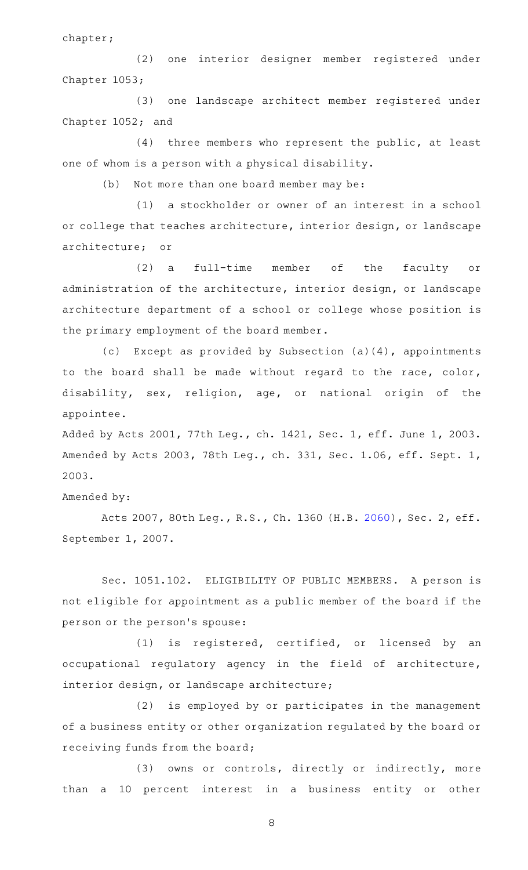chapter;

(2) one interior designer member registered under Chapter 1053;

(3) one landscape architect member registered under Chapter 1052; and

 $(4)$  three members who represent the public, at least one of whom is a person with a physical disability.

(b) Not more than one board member may be:

(1) a stockholder or owner of an interest in a school or college that teaches architecture, interior design, or landscape architecture; or

(2) a full-time member of the faculty or administration of the architecture, interior design, or landscape architecture department of a school or college whose position is the primary employment of the board member.

(c) Except as provided by Subsection (a)(4), appointments to the board shall be made without regard to the race, color, disability, sex, religion, age, or national origin of the appointee.

Added by Acts 2001, 77th Leg., ch. 1421, Sec. 1, eff. June 1, 2003. Amended by Acts 2003, 78th Leg., ch. 331, Sec. 1.06, eff. Sept. 1, 2003.

Amended by:

Acts 2007, 80th Leg., R.S., Ch. 1360 (H.B. [2060](http://www.legis.state.tx.us/tlodocs/80R/billtext/html/HB02060F.HTM)), Sec. 2, eff. September 1, 2007.

Sec. 1051.102. ELIGIBILITY OF PUBLIC MEMBERS. A person is not eligible for appointment as a public member of the board if the person or the person 's spouse:

 $(1)$  is registered, certified, or licensed by an occupational regulatory agency in the field of architecture, interior design, or landscape architecture;

(2) is employed by or participates in the management of a business entity or other organization regulated by the board or receiving funds from the board;

(3) owns or controls, directly or indirectly, more than a 10 percent interest in a business entity or other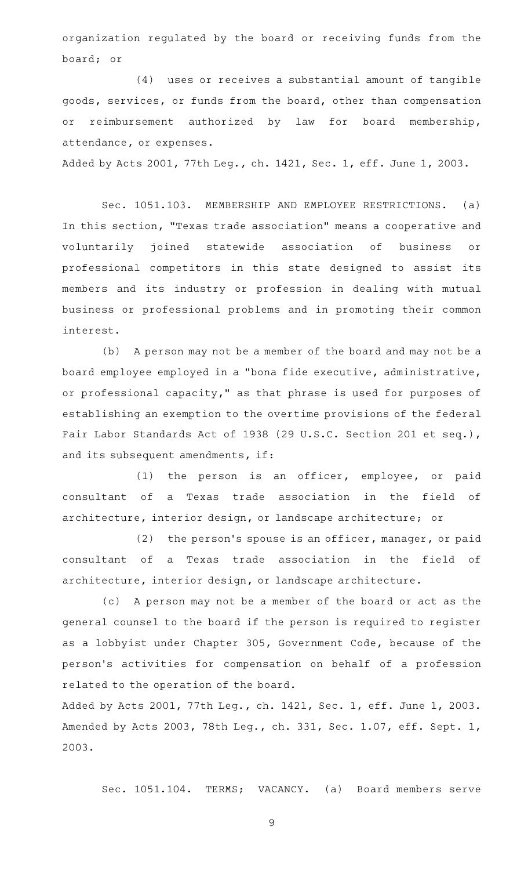organization regulated by the board or receiving funds from the board; or

(4) uses or receives a substantial amount of tangible goods, services, or funds from the board, other than compensation or reimbursement authorized by law for board membership, attendance, or expenses.

Added by Acts 2001, 77th Leg., ch. 1421, Sec. 1, eff. June 1, 2003.

Sec. 1051.103. MEMBERSHIP AND EMPLOYEE RESTRICTIONS. (a) In this section, "Texas trade association" means a cooperative and voluntarily joined statewide association of business or professional competitors in this state designed to assist its members and its industry or profession in dealing with mutual business or professional problems and in promoting their common interest.

(b) A person may not be a member of the board and may not be a board employee employed in a "bona fide executive, administrative, or professional capacity," as that phrase is used for purposes of establishing an exemption to the overtime provisions of the federal Fair Labor Standards Act of 1938 (29 U.S.C. Section 201 et seq.), and its subsequent amendments, if:

(1) the person is an officer, employee, or paid consultant of a Texas trade association in the field of architecture, interior design, or landscape architecture; or

 $(2)$  the person's spouse is an officer, manager, or paid consultant of a Texas trade association in the field of architecture, interior design, or landscape architecture.

(c) A person may not be a member of the board or act as the general counsel to the board if the person is required to register as a lobbyist under Chapter 305, Government Code, because of the person 's activities for compensation on behalf of a profession related to the operation of the board.

Added by Acts 2001, 77th Leg., ch. 1421, Sec. 1, eff. June 1, 2003. Amended by Acts 2003, 78th Leg., ch. 331, Sec. 1.07, eff. Sept. 1, 2003.

Sec. 1051.104. TERMS; VACANCY. (a) Board members serve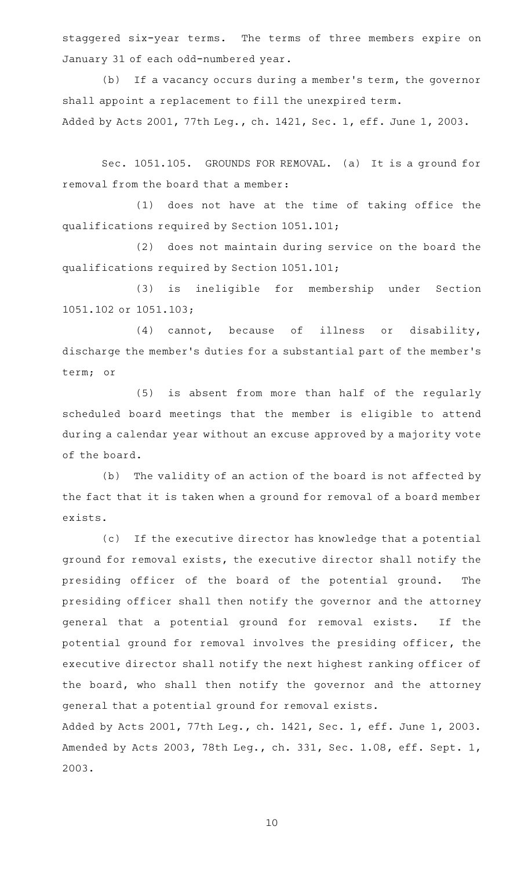staggered six-year terms. The terms of three members expire on January 31 of each odd-numbered year.

(b) If a vacancy occurs during a member's term, the governor shall appoint a replacement to fill the unexpired term.

Added by Acts 2001, 77th Leg., ch. 1421, Sec. 1, eff. June 1, 2003.

Sec. 1051.105. GROUNDS FOR REMOVAL. (a) It is a ground for removal from the board that a member:

(1) does not have at the time of taking office the qualifications required by Section 1051.101;

(2) does not maintain during service on the board the qualifications required by Section 1051.101;

(3) is ineligible for membership under Section 1051.102 or 1051.103;

 $(4)$  cannot, because of illness or disability, discharge the member 's duties for a substantial part of the member 's term; or

(5) is absent from more than half of the regularly scheduled board meetings that the member is eligible to attend during a calendar year without an excuse approved by a majority vote of the board.

(b) The validity of an action of the board is not affected by the fact that it is taken when a ground for removal of a board member exists.

(c) If the executive director has knowledge that a potential ground for removal exists, the executive director shall notify the presiding officer of the board of the potential ground. The presiding officer shall then notify the governor and the attorney general that a potential ground for removal exists. If the potential ground for removal involves the presiding officer, the executive director shall notify the next highest ranking officer of the board, who shall then notify the governor and the attorney general that a potential ground for removal exists.

Added by Acts 2001, 77th Leg., ch. 1421, Sec. 1, eff. June 1, 2003. Amended by Acts 2003, 78th Leg., ch. 331, Sec. 1.08, eff. Sept. 1, 2003.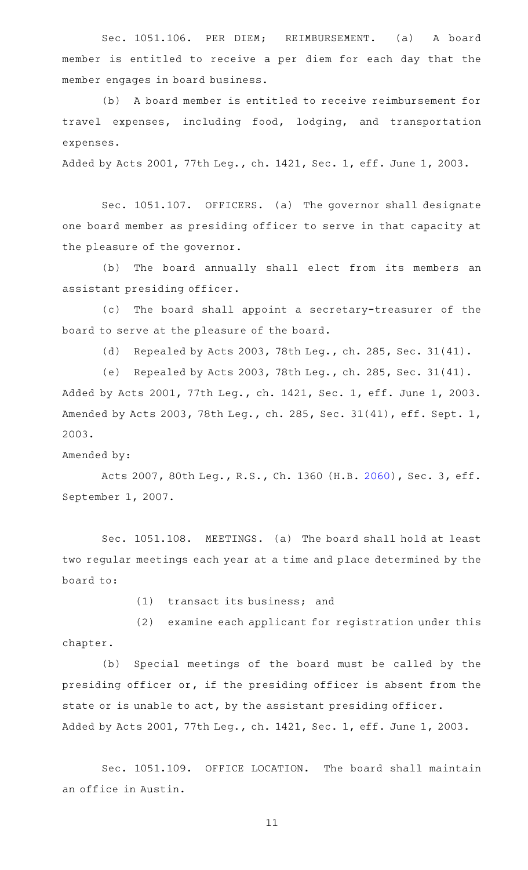Sec. 1051.106. PER DIEM; REIMBURSEMENT. (a) A board member is entitled to receive a per diem for each day that the member engages in board business.

(b) A board member is entitled to receive reimbursement for travel expenses, including food, lodging, and transportation expenses.

Added by Acts 2001, 77th Leg., ch. 1421, Sec. 1, eff. June 1, 2003.

Sec. 1051.107. OFFICERS. (a) The governor shall designate one board member as presiding officer to serve in that capacity at the pleasure of the governor.

(b) The board annually shall elect from its members an assistant presiding officer.

(c) The board shall appoint a secretary-treasurer of the board to serve at the pleasure of the board.

(d) Repealed by Acts 2003, 78th Leg., ch. 285, Sec. 31(41).

(e) Repealed by Acts 2003, 78th Leg., ch. 285, Sec. 31(41). Added by Acts 2001, 77th Leg., ch. 1421, Sec. 1, eff. June 1, 2003. Amended by Acts 2003, 78th Leg., ch. 285, Sec. 31(41), eff. Sept. 1, 2003.

Amended by:

Acts 2007, 80th Leg., R.S., Ch. 1360 (H.B. [2060](http://www.legis.state.tx.us/tlodocs/80R/billtext/html/HB02060F.HTM)), Sec. 3, eff. September 1, 2007.

Sec. 1051.108. MEETINGS. (a) The board shall hold at least two regular meetings each year at a time and place determined by the board to:

 $(1)$  transact its business; and

 $(2)$  examine each applicant for registration under this chapter.

(b) Special meetings of the board must be called by the presiding officer or, if the presiding officer is absent from the state or is unable to act, by the assistant presiding officer. Added by Acts 2001, 77th Leg., ch. 1421, Sec. 1, eff. June 1, 2003.

Sec. 1051.109. OFFICE LOCATION. The board shall maintain an office in Austin.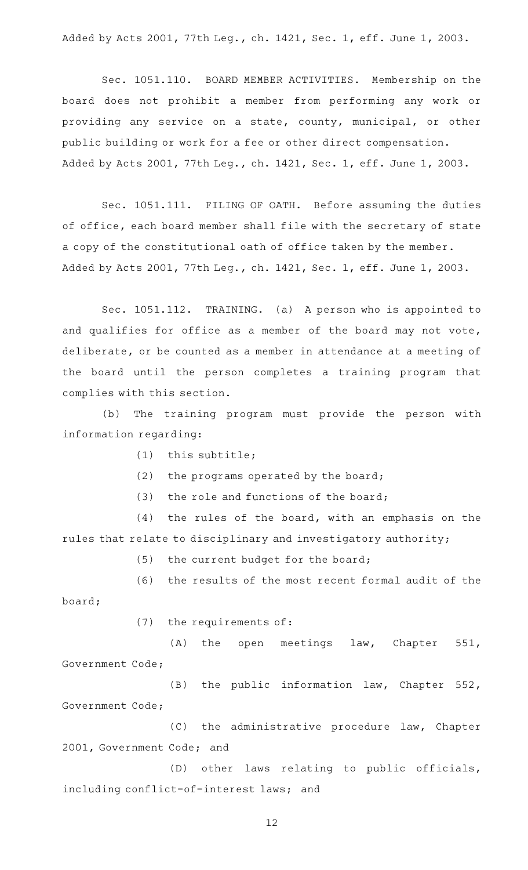Added by Acts 2001, 77th Leg., ch. 1421, Sec. 1, eff. June 1, 2003.

Sec. 1051.110. BOARD MEMBER ACTIVITIES. Membership on the board does not prohibit a member from performing any work or providing any service on a state, county, municipal, or other public building or work for a fee or other direct compensation. Added by Acts 2001, 77th Leg., ch. 1421, Sec. 1, eff. June 1, 2003.

Sec. 1051.111. FILING OF OATH. Before assuming the duties of office, each board member shall file with the secretary of state a copy of the constitutional oath of office taken by the member. Added by Acts 2001, 77th Leg., ch. 1421, Sec. 1, eff. June 1, 2003.

Sec. 1051.112. TRAINING. (a) A person who is appointed to and qualifies for office as a member of the board may not vote, deliberate, or be counted as a member in attendance at a meeting of the board until the person completes a training program that complies with this section.

(b) The training program must provide the person with information regarding:

- $(1)$  this subtitle;
- (2) the programs operated by the board;
- (3) the role and functions of the board;

 $(4)$  the rules of the board, with an emphasis on the rules that relate to disciplinary and investigatory authority;

(5) the current budget for the board;

(6) the results of the most recent formal audit of the board;

 $(7)$  the requirements of:

(A) the open meetings law, Chapter 551, Government Code;

(B) the public information law, Chapter 552, Government Code;

 $(C)$  the administrative procedure law, Chapter 2001, Government Code; and

(D) other laws relating to public officials, including conflict-of-interest laws; and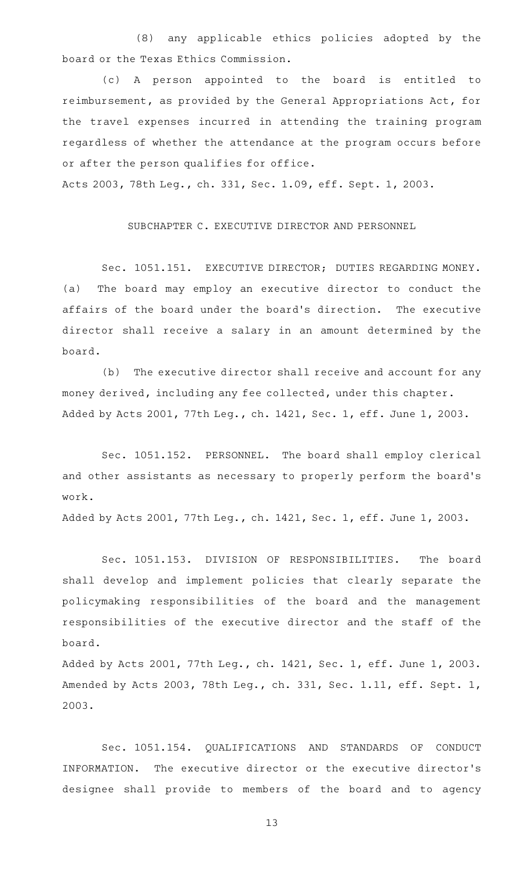(8) any applicable ethics policies adopted by the board or the Texas Ethics Commission.

(c)AAA person appointed to the board is entitled to reimbursement, as provided by the General Appropriations Act, for the travel expenses incurred in attending the training program regardless of whether the attendance at the program occurs before or after the person qualifies for office.

Acts 2003, 78th Leg., ch. 331, Sec. 1.09, eff. Sept. 1, 2003.

SUBCHAPTER C. EXECUTIVE DIRECTOR AND PERSONNEL

Sec. 1051.151. EXECUTIVE DIRECTOR; DUTIES REGARDING MONEY. (a) The board may employ an executive director to conduct the affairs of the board under the board 's direction. The executive director shall receive a salary in an amount determined by the board.

(b) The executive director shall receive and account for any money derived, including any fee collected, under this chapter. Added by Acts 2001, 77th Leg., ch. 1421, Sec. 1, eff. June 1, 2003.

Sec. 1051.152. PERSONNEL. The board shall employ clerical and other assistants as necessary to properly perform the board's work.

Added by Acts 2001, 77th Leg., ch. 1421, Sec. 1, eff. June 1, 2003.

Sec. 1051.153. DIVISION OF RESPONSIBILITIES. The board shall develop and implement policies that clearly separate the policymaking responsibilities of the board and the management responsibilities of the executive director and the staff of the board.

Added by Acts 2001, 77th Leg., ch. 1421, Sec. 1, eff. June 1, 2003. Amended by Acts 2003, 78th Leg., ch. 331, Sec. 1.11, eff. Sept. 1, 2003.

Sec. 1051.154. QUALIFICATIONS AND STANDARDS OF CONDUCT INFORMATION. The executive director or the executive director 's designee shall provide to members of the board and to agency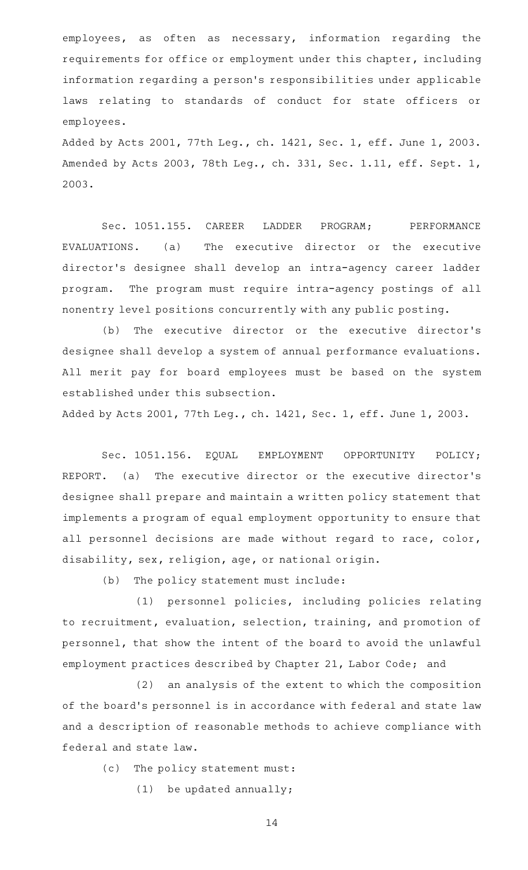employees, as often as necessary, information regarding the requirements for office or employment under this chapter, including information regarding a person 's responsibilities under applicable laws relating to standards of conduct for state officers or employees.

Added by Acts 2001, 77th Leg., ch. 1421, Sec. 1, eff. June 1, 2003. Amended by Acts 2003, 78th Leg., ch. 331, Sec. 1.11, eff. Sept. 1, 2003.

Sec. 1051.155. CAREER LADDER PROGRAM; PERFORMANCE EVALUATIONS. (a) The executive director or the executive director 's designee shall develop an intra-agency career ladder program. The program must require intra-agency postings of all nonentry level positions concurrently with any public posting.

(b) The executive director or the executive director's designee shall develop a system of annual performance evaluations. All merit pay for board employees must be based on the system established under this subsection.

Added by Acts 2001, 77th Leg., ch. 1421, Sec. 1, eff. June 1, 2003.

Sec. 1051.156. EQUAL EMPLOYMENT OPPORTUNITY POLICY; REPORT. (a) The executive director or the executive director 's designee shall prepare and maintain a written policy statement that implements a program of equal employment opportunity to ensure that all personnel decisions are made without regard to race, color, disability, sex, religion, age, or national origin.

 $(b)$  The policy statement must include:

(1) personnel policies, including policies relating to recruitment, evaluation, selection, training, and promotion of personnel, that show the intent of the board to avoid the unlawful employment practices described by Chapter 21, Labor Code; and

(2) an analysis of the extent to which the composition of the board's personnel is in accordance with federal and state law and a description of reasonable methods to achieve compliance with federal and state law.

(c) The policy statement must:

 $(1)$  be updated annually;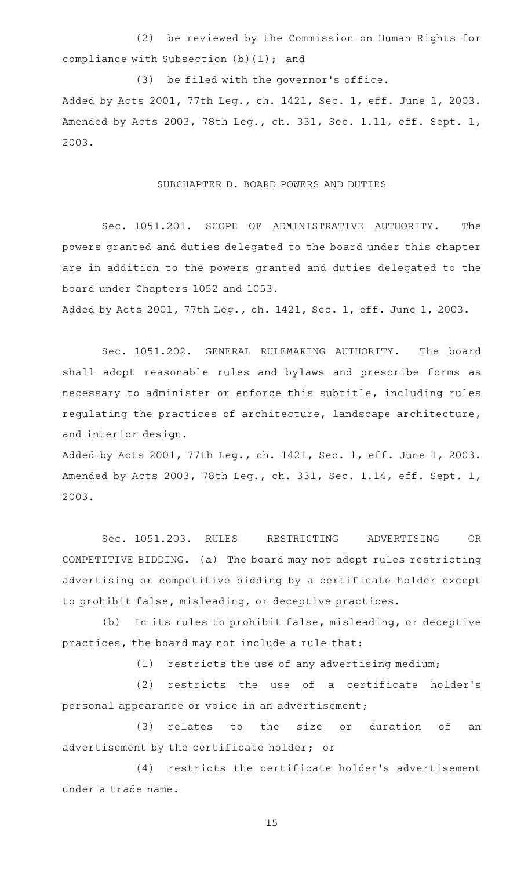(2) be reviewed by the Commission on Human Rights for compliance with Subsection  $(b)(1)$ ; and

(3) be filed with the governor's office. Added by Acts 2001, 77th Leg., ch. 1421, Sec. 1, eff. June 1, 2003. Amended by Acts 2003, 78th Leg., ch. 331, Sec. 1.11, eff. Sept. 1, 2003.

## SUBCHAPTER D. BOARD POWERS AND DUTIES

Sec. 1051.201. SCOPE OF ADMINISTRATIVE AUTHORITY. The powers granted and duties delegated to the board under this chapter are in addition to the powers granted and duties delegated to the board under Chapters 1052 and 1053.

Added by Acts 2001, 77th Leg., ch. 1421, Sec. 1, eff. June 1, 2003.

Sec. 1051.202. GENERAL RULEMAKING AUTHORITY. The board shall adopt reasonable rules and bylaws and prescribe forms as necessary to administer or enforce this subtitle, including rules regulating the practices of architecture, landscape architecture, and interior design.

Added by Acts 2001, 77th Leg., ch. 1421, Sec. 1, eff. June 1, 2003. Amended by Acts 2003, 78th Leg., ch. 331, Sec. 1.14, eff. Sept. 1, 2003.

Sec. 1051.203. RULES RESTRICTING ADVERTISING OR COMPETITIVE BIDDING. (a) The board may not adopt rules restricting advertising or competitive bidding by a certificate holder except to prohibit false, misleading, or deceptive practices.

(b) In its rules to prohibit false, misleading, or deceptive practices, the board may not include a rule that:

 $(1)$  restricts the use of any advertising medium;

 $(2)$  restricts the use of a certificate holder's personal appearance or voice in an advertisement;

(3) relates to the size or duration of an advertisement by the certificate holder; or

 $(4)$  restricts the certificate holder's advertisement under a trade name.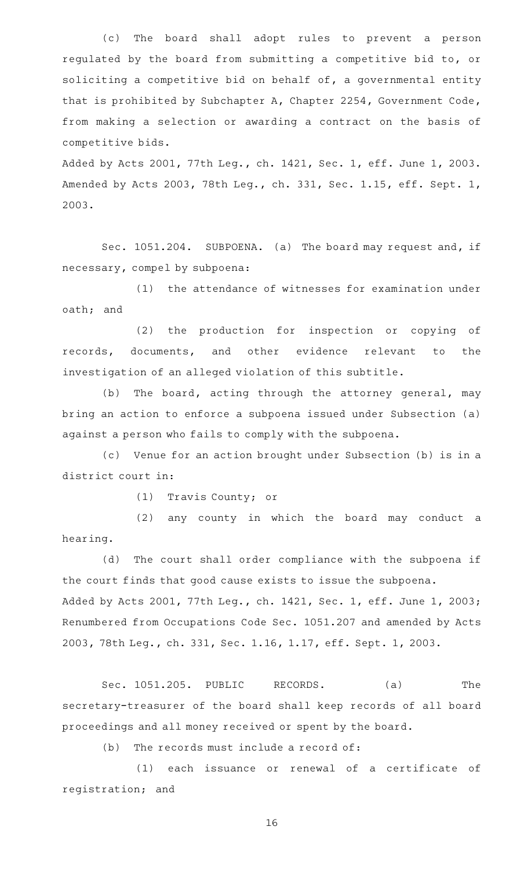(c) The board shall adopt rules to prevent a person regulated by the board from submitting a competitive bid to, or soliciting a competitive bid on behalf of, a governmental entity that is prohibited by Subchapter A, Chapter 2254, Government Code, from making a selection or awarding a contract on the basis of competitive bids.

Added by Acts 2001, 77th Leg., ch. 1421, Sec. 1, eff. June 1, 2003. Amended by Acts 2003, 78th Leg., ch. 331, Sec. 1.15, eff. Sept. 1, 2003.

Sec. 1051.204. SUBPOENA. (a) The board may request and, if necessary, compel by subpoena:

(1) the attendance of witnesses for examination under oath; and

(2) the production for inspection or copying of records, documents, and other evidence relevant to the investigation of an alleged violation of this subtitle.

(b) The board, acting through the attorney general, may bring an action to enforce a subpoena issued under Subsection (a) against a person who fails to comply with the subpoena.

(c) Venue for an action brought under Subsection (b) is in a district court in:

(1) Travis County; or

(2) any county in which the board may conduct a hearing.

(d) The court shall order compliance with the subpoena if the court finds that good cause exists to issue the subpoena. Added by Acts 2001, 77th Leg., ch. 1421, Sec. 1, eff. June 1, 2003; Renumbered from Occupations Code Sec. 1051.207 and amended by Acts 2003, 78th Leg., ch. 331, Sec. 1.16, 1.17, eff. Sept. 1, 2003.

Sec. 1051.205. PUBLIC RECORDS. (a) The secretary-treasurer of the board shall keep records of all board proceedings and all money received or spent by the board.

 $(b)$  The records must include a record of:

(1) each issuance or renewal of a certificate of registration; and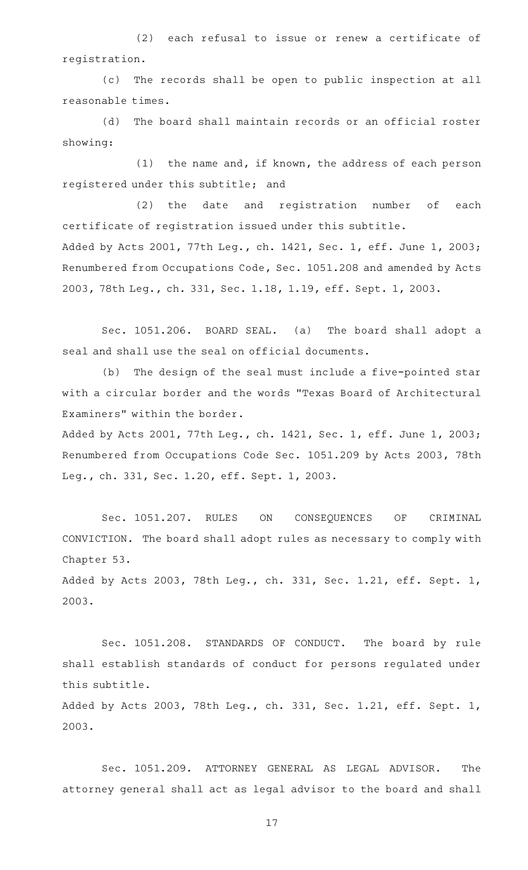(2) each refusal to issue or renew a certificate of registration.

(c) The records shall be open to public inspection at all reasonable times.

(d) The board shall maintain records or an official roster showing:

 $(1)$  the name and, if known, the address of each person registered under this subtitle; and

(2) the date and registration number of each certificate of registration issued under this subtitle. Added by Acts 2001, 77th Leg., ch. 1421, Sec. 1, eff. June 1, 2003; Renumbered from Occupations Code, Sec. 1051.208 and amended by Acts 2003, 78th Leg., ch. 331, Sec. 1.18, 1.19, eff. Sept. 1, 2003.

Sec. 1051.206. BOARD SEAL. (a) The board shall adopt a seal and shall use the seal on official documents.

(b) The design of the seal must include a five-pointed star with a circular border and the words "Texas Board of Architectural Examiners" within the border.

Added by Acts 2001, 77th Leg., ch. 1421, Sec. 1, eff. June 1, 2003; Renumbered from Occupations Code Sec. 1051.209 by Acts 2003, 78th Leg., ch. 331, Sec. 1.20, eff. Sept. 1, 2003.

Sec. 1051.207. RULES ON CONSEQUENCES OF CRIMINAL CONVICTION. The board shall adopt rules as necessary to comply with Chapter 53.

Added by Acts 2003, 78th Leg., ch. 331, Sec. 1.21, eff. Sept. 1, 2003.

Sec. 1051.208. STANDARDS OF CONDUCT. The board by rule shall establish standards of conduct for persons regulated under this subtitle. Added by Acts 2003, 78th Leg., ch. 331, Sec. 1.21, eff. Sept. 1,

2003.

Sec. 1051.209. ATTORNEY GENERAL AS LEGAL ADVISOR. The attorney general shall act as legal advisor to the board and shall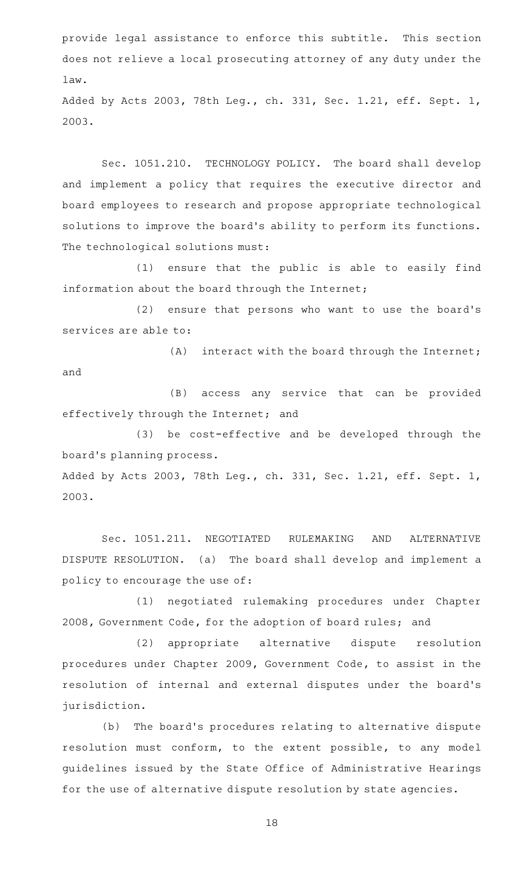provide legal assistance to enforce this subtitle. This section does not relieve a local prosecuting attorney of any duty under the law.

Added by Acts 2003, 78th Leg., ch. 331, Sec. 1.21, eff. Sept. 1, 2003.

Sec. 1051.210. TECHNOLOGY POLICY. The board shall develop and implement a policy that requires the executive director and board employees to research and propose appropriate technological solutions to improve the board's ability to perform its functions. The technological solutions must:

(1) ensure that the public is able to easily find information about the board through the Internet;

(2) ensure that persons who want to use the board's services are able to:

 $(A)$  interact with the board through the Internet; and

(B) access any service that can be provided effectively through the Internet; and

(3) be cost-effective and be developed through the board 's planning process.

Added by Acts 2003, 78th Leg., ch. 331, Sec. 1.21, eff. Sept. 1, 2003.

Sec. 1051.211. NEGOTIATED RULEMAKING AND ALTERNATIVE DISPUTE RESOLUTION. (a) The board shall develop and implement a policy to encourage the use of:

(1) negotiated rulemaking procedures under Chapter 2008, Government Code, for the adoption of board rules; and

(2) appropriate alternative dispute resolution procedures under Chapter 2009, Government Code, to assist in the resolution of internal and external disputes under the board's jurisdiction.

(b) The board's procedures relating to alternative dispute resolution must conform, to the extent possible, to any model guidelines issued by the State Office of Administrative Hearings for the use of alternative dispute resolution by state agencies.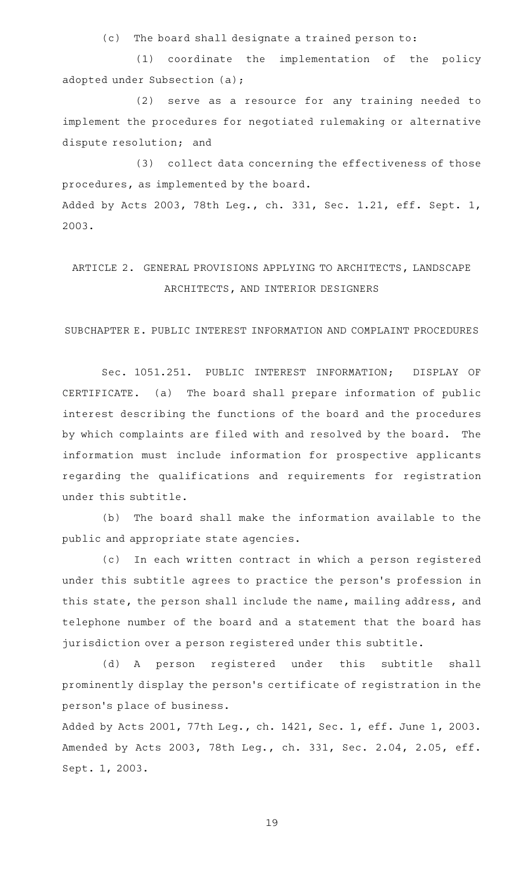(c) The board shall designate a trained person to:

(1) coordinate the implementation of the policy adopted under Subsection (a);

(2) serve as a resource for any training needed to implement the procedures for negotiated rulemaking or alternative dispute resolution; and

(3) collect data concerning the effectiveness of those procedures, as implemented by the board. Added by Acts 2003, 78th Leg., ch. 331, Sec. 1.21, eff. Sept. 1, 2003.

# ARTICLE 2. GENERAL PROVISIONS APPLYING TO ARCHITECTS, LANDSCAPE ARCHITECTS, AND INTERIOR DESIGNERS

SUBCHAPTER E. PUBLIC INTEREST INFORMATION AND COMPLAINT PROCEDURES

Sec. 1051.251. PUBLIC INTEREST INFORMATION; DISPLAY OF CERTIFICATE. (a) The board shall prepare information of public interest describing the functions of the board and the procedures by which complaints are filed with and resolved by the board. The information must include information for prospective applicants regarding the qualifications and requirements for registration under this subtitle.

(b) The board shall make the information available to the public and appropriate state agencies.

(c) In each written contract in which a person registered under this subtitle agrees to practice the person's profession in this state, the person shall include the name, mailing address, and telephone number of the board and a statement that the board has jurisdiction over a person registered under this subtitle.

(d)AAA person registered under this subtitle shall prominently display the person 's certificate of registration in the person 's place of business.

Added by Acts 2001, 77th Leg., ch. 1421, Sec. 1, eff. June 1, 2003. Amended by Acts 2003, 78th Leg., ch. 331, Sec. 2.04, 2.05, eff. Sept. 1, 2003.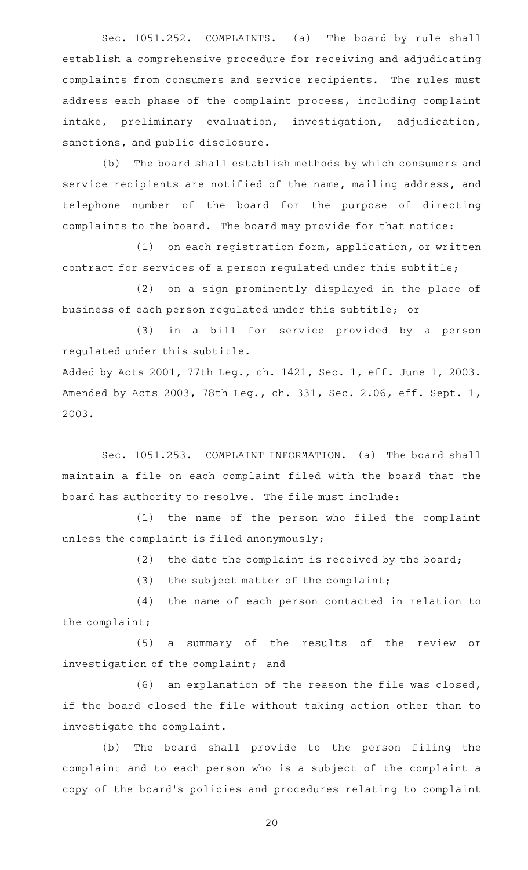Sec. 1051.252. COMPLAINTS. (a) The board by rule shall establish a comprehensive procedure for receiving and adjudicating complaints from consumers and service recipients. The rules must address each phase of the complaint process, including complaint intake, preliminary evaluation, investigation, adjudication, sanctions, and public disclosure.

(b) The board shall establish methods by which consumers and service recipients are notified of the name, mailing address, and telephone number of the board for the purpose of directing complaints to the board. The board may provide for that notice:

 $(1)$  on each registration form, application, or written contract for services of a person regulated under this subtitle;

(2) on a sign prominently displayed in the place of business of each person regulated under this subtitle; or

(3) in a bill for service provided by a person regulated under this subtitle.

Added by Acts 2001, 77th Leg., ch. 1421, Sec. 1, eff. June 1, 2003. Amended by Acts 2003, 78th Leg., ch. 331, Sec. 2.06, eff. Sept. 1, 2003.

Sec. 1051.253. COMPLAINT INFORMATION. (a) The board shall maintain a file on each complaint filed with the board that the board has authority to resolve. The file must include:

(1) the name of the person who filed the complaint unless the complaint is filed anonymously;

(2) the date the complaint is received by the board;

 $(3)$  the subject matter of the complaint;

(4) the name of each person contacted in relation to the complaint;

(5) a summary of the results of the review or investigation of the complaint; and

 $(6)$  an explanation of the reason the file was closed, if the board closed the file without taking action other than to investigate the complaint.

(b) The board shall provide to the person filing the complaint and to each person who is a subject of the complaint a copy of the board's policies and procedures relating to complaint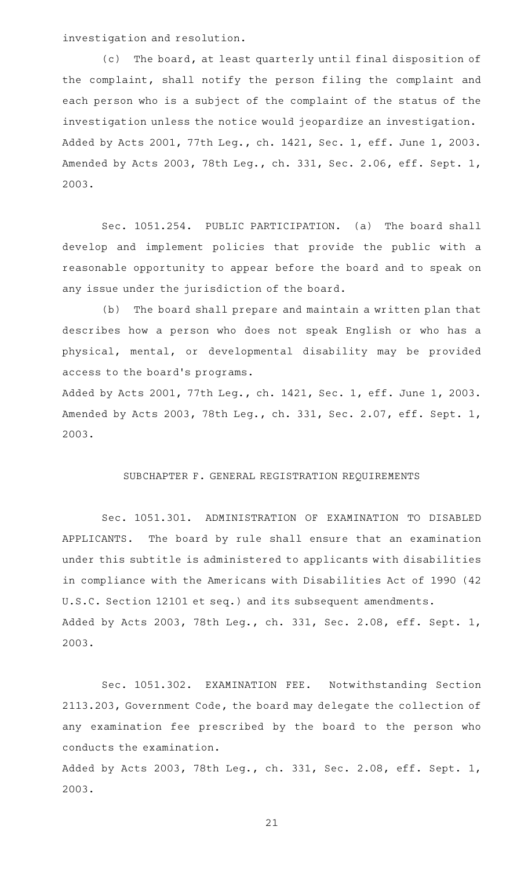investigation and resolution.

(c) The board, at least quarterly until final disposition of the complaint, shall notify the person filing the complaint and each person who is a subject of the complaint of the status of the investigation unless the notice would jeopardize an investigation. Added by Acts 2001, 77th Leg., ch. 1421, Sec. 1, eff. June 1, 2003. Amended by Acts 2003, 78th Leg., ch. 331, Sec. 2.06, eff. Sept. 1, 2003.

Sec. 1051.254. PUBLIC PARTICIPATION. (a) The board shall develop and implement policies that provide the public with a reasonable opportunity to appear before the board and to speak on any issue under the jurisdiction of the board.

(b) The board shall prepare and maintain a written plan that describes how a person who does not speak English or who has a physical, mental, or developmental disability may be provided access to the board 's programs.

Added by Acts 2001, 77th Leg., ch. 1421, Sec. 1, eff. June 1, 2003. Amended by Acts 2003, 78th Leg., ch. 331, Sec. 2.07, eff. Sept. 1, 2003.

#### SUBCHAPTER F. GENERAL REGISTRATION REQUIREMENTS

Sec. 1051.301. ADMINISTRATION OF EXAMINATION TO DISABLED APPLICANTS. The board by rule shall ensure that an examination under this subtitle is administered to applicants with disabilities in compliance with the Americans with Disabilities Act of 1990 (42 U.S.C. Section 12101 et seq.) and its subsequent amendments. Added by Acts 2003, 78th Leg., ch. 331, Sec. 2.08, eff. Sept. 1, 2003.

Sec. 1051.302. EXAMINATION FEE. Notwithstanding Section 2113.203, Government Code, the board may delegate the collection of any examination fee prescribed by the board to the person who conducts the examination.

Added by Acts 2003, 78th Leg., ch. 331, Sec. 2.08, eff. Sept. 1, 2003.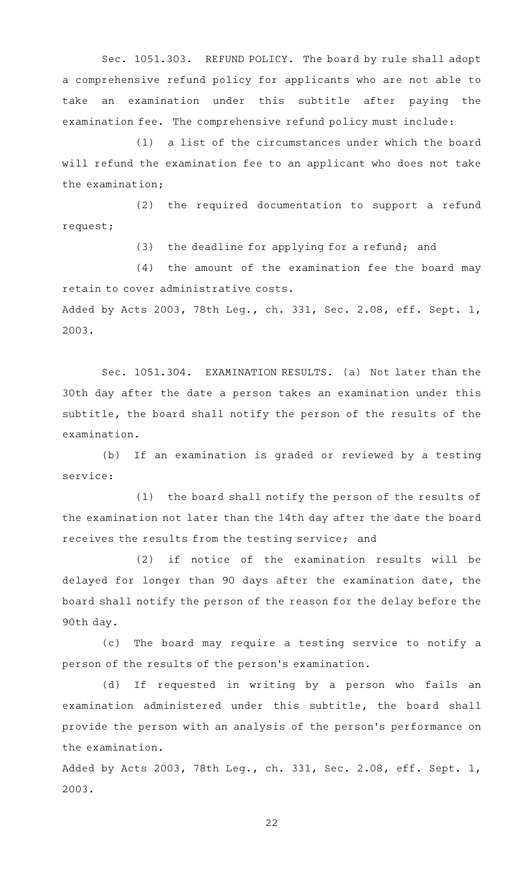Sec. 1051.303. REFUND POLICY. The board by rule shall adopt a comprehensive refund policy for applicants who are not able to take an examination under this subtitle after paying the examination fee. The comprehensive refund policy must include:

 $(1)$  a list of the circumstances under which the board will refund the examination fee to an applicant who does not take the examination;

 $(2)$  the required documentation to support a refund request;

(3) the deadline for applying for a refund; and

 $(4)$  the amount of the examination fee the board may retain to cover administrative costs. Added by Acts 2003, 78th Leg., ch. 331, Sec. 2.08, eff. Sept. 1,

2003.

Sec. 1051.304. EXAMINATION RESULTS. (a) Not later than the 30th day after the date a person takes an examination under this subtitle, the board shall notify the person of the results of the examination.

(b) If an examination is graded or reviewed by a testing service:

(1) the board shall notify the person of the results of the examination not later than the 14th day after the date the board receives the results from the testing service; and

 $(2)$  if notice of the examination results will be delayed for longer than 90 days after the examination date, the board shall notify the person of the reason for the delay before the 90th day.

(c) The board may require a testing service to notify a person of the results of the person 's examination.

(d) If requested in writing by a person who fails an examination administered under this subtitle, the board shall provide the person with an analysis of the person 's performance on the examination.

Added by Acts 2003, 78th Leg., ch. 331, Sec. 2.08, eff. Sept. 1, 2003.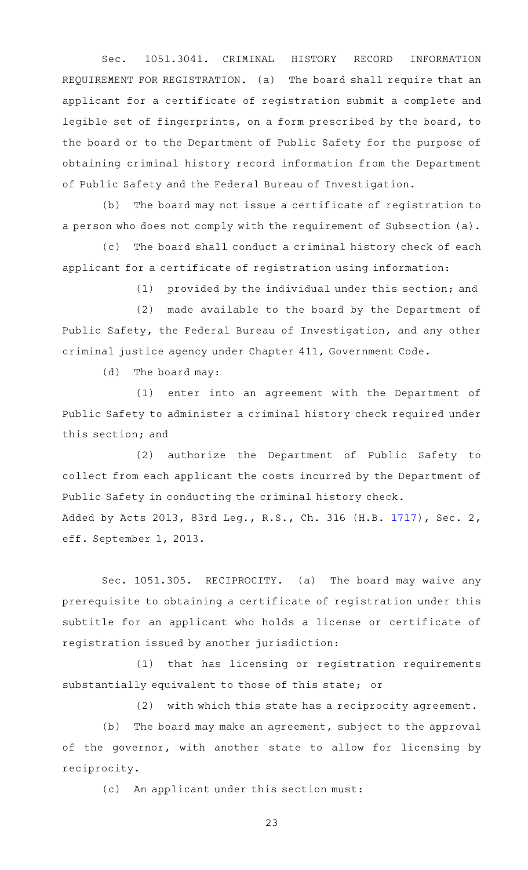Sec. 1051.3041. CRIMINAL HISTORY RECORD INFORMATION REQUIREMENT FOR REGISTRATION. (a) The board shall require that an applicant for a certificate of registration submit a complete and legible set of fingerprints, on a form prescribed by the board, to the board or to the Department of Public Safety for the purpose of obtaining criminal history record information from the Department of Public Safety and the Federal Bureau of Investigation.

(b) The board may not issue a certificate of registration to a person who does not comply with the requirement of Subsection (a).

(c) The board shall conduct a criminal history check of each applicant for a certificate of registration using information:

 $(1)$  provided by the individual under this section; and

(2) made available to the board by the Department of Public Safety, the Federal Bureau of Investigation, and any other criminal justice agency under Chapter 411, Government Code.

 $(d)$  The board may:

(1) enter into an agreement with the Department of Public Safety to administer a criminal history check required under this section; and

(2) authorize the Department of Public Safety to collect from each applicant the costs incurred by the Department of Public Safety in conducting the criminal history check. Added by Acts 2013, 83rd Leg., R.S., Ch. 316 (H.B. [1717](http://www.legis.state.tx.us/tlodocs/83R/billtext/html/HB01717F.HTM)), Sec. 2, eff. September 1, 2013.

Sec. 1051.305. RECIPROCITY. (a) The board may waive any prerequisite to obtaining a certificate of registration under this subtitle for an applicant who holds a license or certificate of registration issued by another jurisdiction:

(1) that has licensing or registration requirements substantially equivalent to those of this state; or

(2) with which this state has a reciprocity agreement.

(b) The board may make an agreement, subject to the approval of the governor, with another state to allow for licensing by reciprocity.

(c) An applicant under this section must: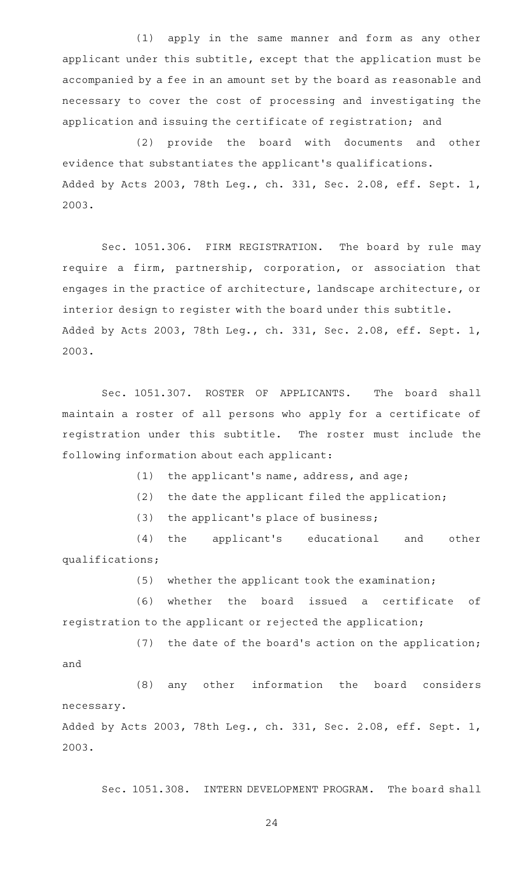(1) apply in the same manner and form as any other applicant under this subtitle, except that the application must be accompanied by a fee in an amount set by the board as reasonable and necessary to cover the cost of processing and investigating the application and issuing the certificate of registration; and

(2) provide the board with documents and other evidence that substantiates the applicant 's qualifications. Added by Acts 2003, 78th Leg., ch. 331, Sec. 2.08, eff. Sept. 1, 2003.

Sec. 1051.306. FIRM REGISTRATION. The board by rule may require a firm, partnership, corporation, or association that engages in the practice of architecture, landscape architecture, or interior design to register with the board under this subtitle. Added by Acts 2003, 78th Leg., ch. 331, Sec. 2.08, eff. Sept. 1, 2003.

Sec. 1051.307. ROSTER OF APPLICANTS. The board shall maintain a roster of all persons who apply for a certificate of registration under this subtitle. The roster must include the following information about each applicant:

 $(1)$  the applicant's name, address, and age;

 $(2)$  the date the applicant filed the application;

 $(3)$  the applicant's place of business;

(4) the applicant's educational and other qualifications;

 $(5)$  whether the applicant took the examination;

(6) whether the board issued a certificate of registration to the applicant or rejected the application;

 $(7)$  the date of the board's action on the application; and

(8) any other information the board considers necessary. Added by Acts 2003, 78th Leg., ch. 331, Sec. 2.08, eff. Sept. 1, 2003.

Sec. 1051.308. INTERN DEVELOPMENT PROGRAM. The board shall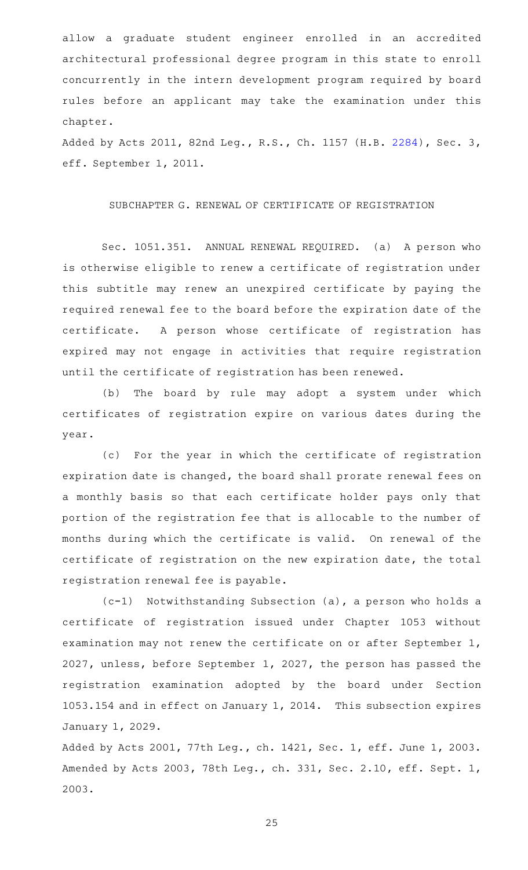allow a graduate student engineer enrolled in an accredited architectural professional degree program in this state to enroll concurrently in the intern development program required by board rules before an applicant may take the examination under this chapter.

Added by Acts 2011, 82nd Leg., R.S., Ch. 1157 (H.B. [2284\)](http://www.legis.state.tx.us/tlodocs/82R/billtext/html/HB02284F.HTM), Sec. 3, eff. September 1, 2011.

#### SUBCHAPTER G. RENEWAL OF CERTIFICATE OF REGISTRATION

Sec. 1051.351. ANNUAL RENEWAL REQUIRED. (a) A person who is otherwise eligible to renew a certificate of registration under this subtitle may renew an unexpired certificate by paying the required renewal fee to the board before the expiration date of the certificate. A person whose certificate of registration has expired may not engage in activities that require registration until the certificate of registration has been renewed.

(b) The board by rule may adopt a system under which certificates of registration expire on various dates during the year.

(c) For the year in which the certificate of registration expiration date is changed, the board shall prorate renewal fees on a monthly basis so that each certificate holder pays only that portion of the registration fee that is allocable to the number of months during which the certificate is valid. On renewal of the certificate of registration on the new expiration date, the total registration renewal fee is payable.

 $(c-1)$  Notwithstanding Subsection (a), a person who holds a certificate of registration issued under Chapter 1053 without examination may not renew the certificate on or after September 1, 2027, unless, before September 1, 2027, the person has passed the registration examination adopted by the board under Section 1053.154 and in effect on January 1, 2014. This subsection expires January 1, 2029.

Added by Acts 2001, 77th Leg., ch. 1421, Sec. 1, eff. June 1, 2003. Amended by Acts 2003, 78th Leg., ch. 331, Sec. 2.10, eff. Sept. 1, 2003.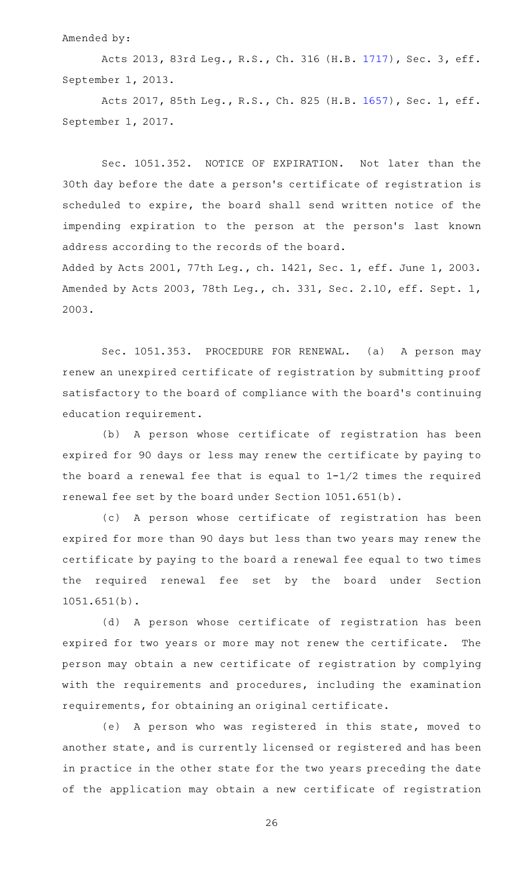#### Amended by:

Acts 2013, 83rd Leg., R.S., Ch. 316 (H.B. [1717](http://www.legis.state.tx.us/tlodocs/83R/billtext/html/HB01717F.HTM)), Sec. 3, eff. September 1, 2013.

Acts 2017, 85th Leg., R.S., Ch. 825 (H.B. [1657](http://www.legis.state.tx.us/tlodocs/85R/billtext/html/HB01657F.HTM)), Sec. 1, eff. September 1, 2017.

Sec. 1051.352. NOTICE OF EXPIRATION. Not later than the 30th day before the date a person 's certificate of registration is scheduled to expire, the board shall send written notice of the impending expiration to the person at the person's last known address according to the records of the board.

Added by Acts 2001, 77th Leg., ch. 1421, Sec. 1, eff. June 1, 2003. Amended by Acts 2003, 78th Leg., ch. 331, Sec. 2.10, eff. Sept. 1, 2003.

Sec. 1051.353. PROCEDURE FOR RENEWAL. (a) A person may renew an unexpired certificate of registration by submitting proof satisfactory to the board of compliance with the board's continuing education requirement.

(b) A person whose certificate of registration has been expired for 90 days or less may renew the certificate by paying to the board a renewal fee that is equal to  $1-1/2$  times the required renewal fee set by the board under Section 1051.651(b).

(c)AAA person whose certificate of registration has been expired for more than 90 days but less than two years may renew the certificate by paying to the board a renewal fee equal to two times the required renewal fee set by the board under Section 1051.651(b).

(d) A person whose certificate of registration has been expired for two years or more may not renew the certificate. The person may obtain a new certificate of registration by complying with the requirements and procedures, including the examination requirements, for obtaining an original certificate.

(e)AAA person who was registered in this state, moved to another state, and is currently licensed or registered and has been in practice in the other state for the two years preceding the date of the application may obtain a new certificate of registration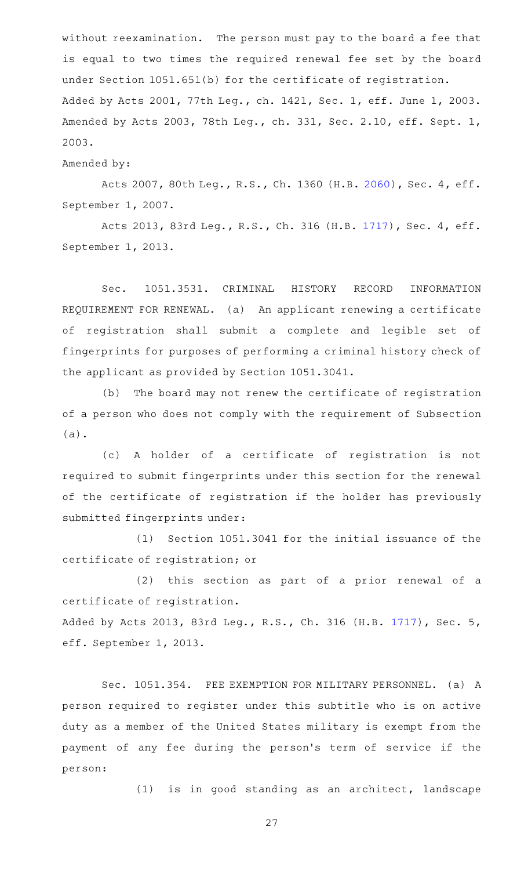without reexamination. The person must pay to the board a fee that is equal to two times the required renewal fee set by the board under Section 1051.651(b) for the certificate of registration. Added by Acts 2001, 77th Leg., ch. 1421, Sec. 1, eff. June 1, 2003. Amended by Acts 2003, 78th Leg., ch. 331, Sec. 2.10, eff. Sept. 1, 2003.

Amended by:

Acts 2007, 80th Leg., R.S., Ch. 1360 (H.B. [2060](http://www.legis.state.tx.us/tlodocs/80R/billtext/html/HB02060F.HTM)), Sec. 4, eff. September 1, 2007.

Acts 2013, 83rd Leg., R.S., Ch. 316 (H.B. [1717](http://www.legis.state.tx.us/tlodocs/83R/billtext/html/HB01717F.HTM)), Sec. 4, eff. September 1, 2013.

Sec. 1051.3531. CRIMINAL HISTORY RECORD INFORMATION REQUIREMENT FOR RENEWAL. (a) An applicant renewing a certificate of registration shall submit a complete and legible set of fingerprints for purposes of performing a criminal history check of the applicant as provided by Section 1051.3041.

(b) The board may not renew the certificate of registration of a person who does not comply with the requirement of Subsection (a).

(c)AAA holder of a certificate of registration is not required to submit fingerprints under this section for the renewal of the certificate of registration if the holder has previously submitted fingerprints under:

(1) Section 1051.3041 for the initial issuance of the certificate of registration; or

(2) this section as part of a prior renewal of a certificate of registration.

Added by Acts 2013, 83rd Leg., R.S., Ch. 316 (H.B. [1717](http://www.legis.state.tx.us/tlodocs/83R/billtext/html/HB01717F.HTM)), Sec. 5, eff. September 1, 2013.

Sec. 1051.354. FEE EXEMPTION FOR MILITARY PERSONNEL. (a) A person required to register under this subtitle who is on active duty as a member of the United States military is exempt from the payment of any fee during the person 's term of service if the person:

(1) is in good standing as an architect, landscape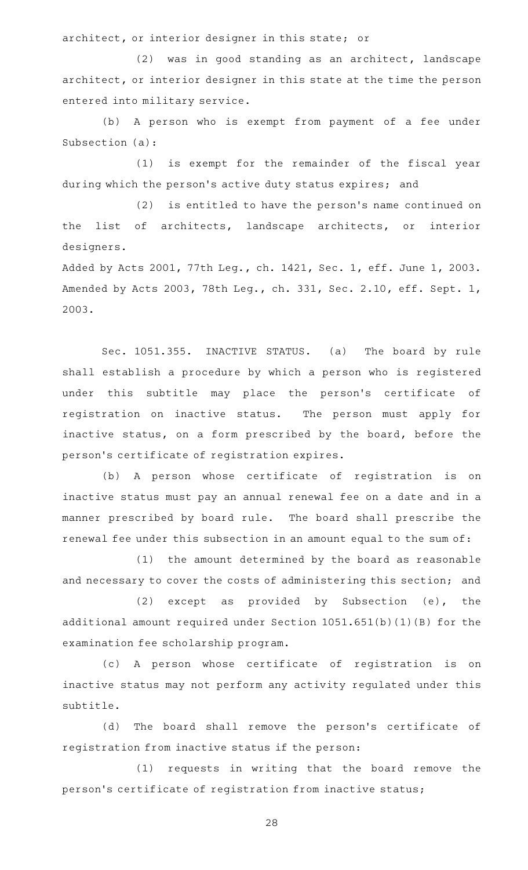architect, or interior designer in this state; or

 $(2)$  was in good standing as an architect, landscape architect, or interior designer in this state at the time the person entered into military service.

(b) A person who is exempt from payment of a fee under Subsection (a):

(1) is exempt for the remainder of the fiscal year during which the person's active duty status expires; and

(2) is entitled to have the person's name continued on the list of architects, landscape architects, or interior designers.

Added by Acts 2001, 77th Leg., ch. 1421, Sec. 1, eff. June 1, 2003. Amended by Acts 2003, 78th Leg., ch. 331, Sec. 2.10, eff. Sept. 1, 2003.

Sec. 1051.355. INACTIVE STATUS. (a) The board by rule shall establish a procedure by which a person who is registered under this subtitle may place the person's certificate of registration on inactive status. The person must apply for inactive status, on a form prescribed by the board, before the person 's certificate of registration expires.

(b) A person whose certificate of registration is on inactive status must pay an annual renewal fee on a date and in a manner prescribed by board rule. The board shall prescribe the renewal fee under this subsection in an amount equal to the sum of:

(1) the amount determined by the board as reasonable and necessary to cover the costs of administering this section; and

 $(2)$  except as provided by Subsection  $(e)$ , the additional amount required under Section 1051.651(b)(1)(B) for the examination fee scholarship program.

(c)AAA person whose certificate of registration is on inactive status may not perform any activity regulated under this subtitle.

(d) The board shall remove the person's certificate of registration from inactive status if the person:

(1) requests in writing that the board remove the person 's certificate of registration from inactive status;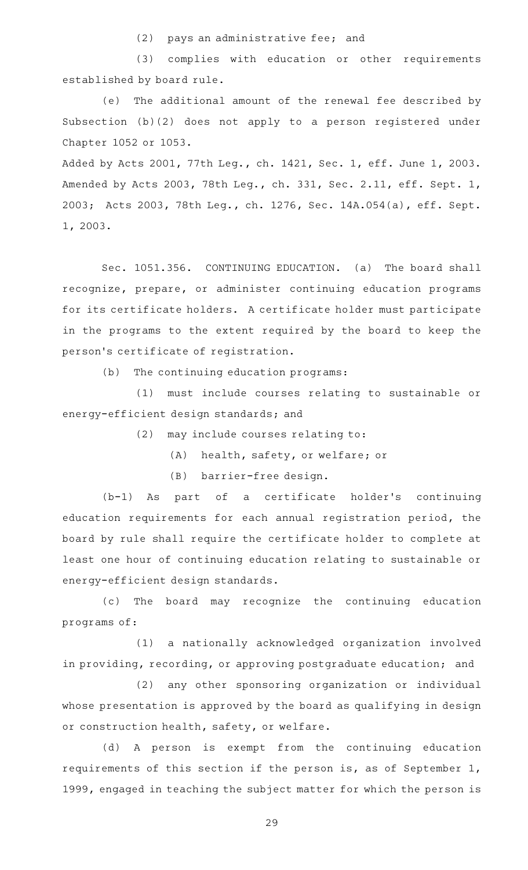(2) pays an administrative fee; and

(3) complies with education or other requirements established by board rule.

(e) The additional amount of the renewal fee described by Subsection (b)(2) does not apply to a person registered under Chapter 1052 or 1053.

Added by Acts 2001, 77th Leg., ch. 1421, Sec. 1, eff. June 1, 2003. Amended by Acts 2003, 78th Leg., ch. 331, Sec. 2.11, eff. Sept. 1, 2003; Acts 2003, 78th Leg., ch. 1276, Sec. 14A.054(a), eff. Sept. 1, 2003.

Sec. 1051.356. CONTINUING EDUCATION. (a) The board shall recognize, prepare, or administer continuing education programs for its certificate holders. A certificate holder must participate in the programs to the extent required by the board to keep the person 's certificate of registration.

(b) The continuing education programs:

(1) must include courses relating to sustainable or energy-efficient design standards; and

 $(2)$  may include courses relating to:

(A) health, safety, or welfare; or

(B) barrier-free design.

(b-1) As part of a certificate holder's continuing education requirements for each annual registration period, the board by rule shall require the certificate holder to complete at least one hour of continuing education relating to sustainable or energy-efficient design standards.

(c) The board may recognize the continuing education programs of:

(1) a nationally acknowledged organization involved in providing, recording, or approving postgraduate education; and

(2) any other sponsoring organization or individual whose presentation is approved by the board as qualifying in design or construction health, safety, or welfare.

(d)AAA person is exempt from the continuing education requirements of this section if the person is, as of September 1, 1999, engaged in teaching the subject matter for which the person is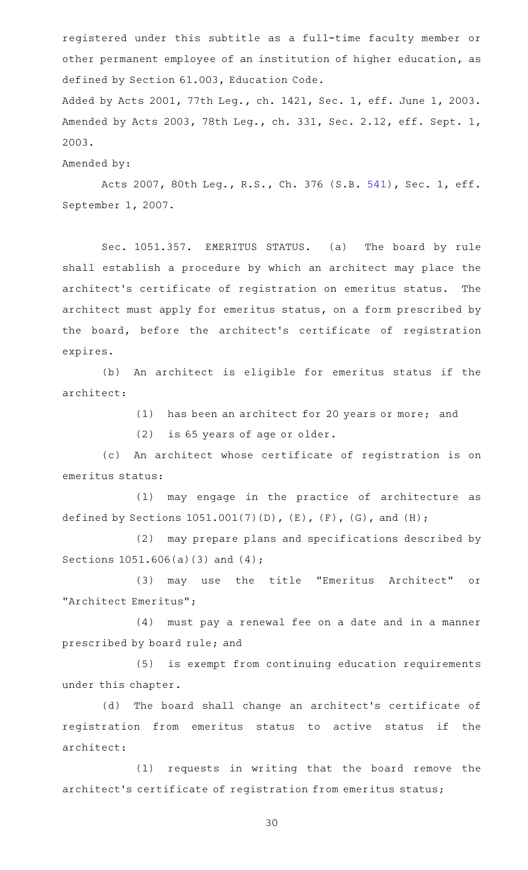registered under this subtitle as a full-time faculty member or other permanent employee of an institution of higher education, as defined by Section 61.003, Education Code.

Added by Acts 2001, 77th Leg., ch. 1421, Sec. 1, eff. June 1, 2003. Amended by Acts 2003, 78th Leg., ch. 331, Sec. 2.12, eff. Sept. 1, 2003.

Amended by:

Acts 2007, 80th Leg., R.S., Ch. 376 (S.B. [541](http://www.legis.state.tx.us/tlodocs/80R/billtext/html/SB00541F.HTM)), Sec. 1, eff. September 1, 2007.

Sec. 1051.357. EMERITUS STATUS. (a) The board by rule shall establish a procedure by which an architect may place the architect's certificate of registration on emeritus status. The architect must apply for emeritus status, on a form prescribed by the board, before the architect's certificate of registration expires.

(b) An architect is eligible for emeritus status if the architect:

(1) has been an architect for 20 years or more; and

 $(2)$  is 65 years of age or older.

(c) An architect whose certificate of registration is on emeritus status:

(1) may engage in the practice of architecture as defined by Sections  $1051.001(7)(D)$ ,  $(E)$ ,  $(F)$ ,  $(G)$ , and  $(H)$ ;

(2) may prepare plans and specifications described by Sections 1051.606(a)(3) and (4);

(3) may use the title "Emeritus Architect" or "Architect Emeritus";

(4) must pay a renewal fee on a date and in a manner prescribed by board rule; and

(5) is exempt from continuing education requirements under this chapter.

(d) The board shall change an architect's certificate of registration from emeritus status to active status if the architect:

(1) requests in writing that the board remove the architect 's certificate of registration from emeritus status;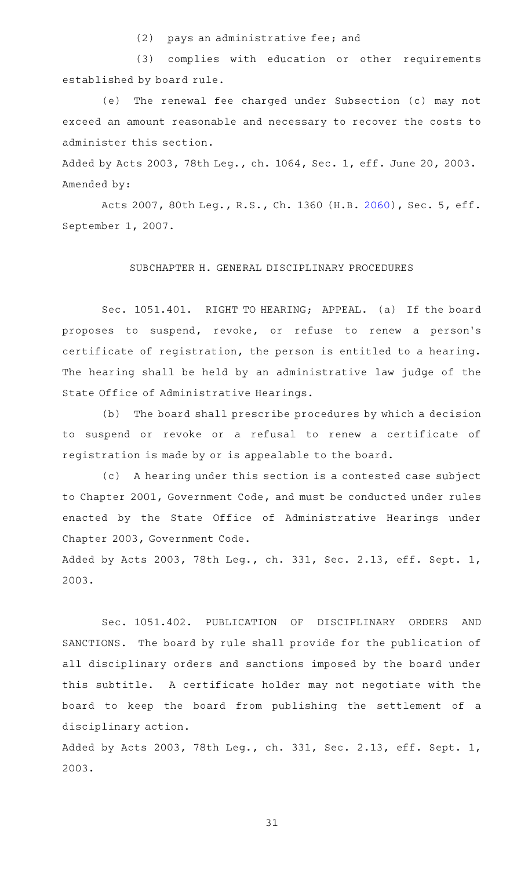(2) pays an administrative fee; and

(3) complies with education or other requirements established by board rule.

(e) The renewal fee charged under Subsection (c) may not exceed an amount reasonable and necessary to recover the costs to administer this section.

Added by Acts 2003, 78th Leg., ch. 1064, Sec. 1, eff. June 20, 2003. Amended by:

Acts 2007, 80th Leg., R.S., Ch. 1360 (H.B. [2060](http://www.legis.state.tx.us/tlodocs/80R/billtext/html/HB02060F.HTM)), Sec. 5, eff. September 1, 2007.

# SUBCHAPTER H. GENERAL DISCIPLINARY PROCEDURES

Sec. 1051.401. RIGHT TO HEARING; APPEAL. (a) If the board proposes to suspend, revoke, or refuse to renew a person's certificate of registration, the person is entitled to a hearing. The hearing shall be held by an administrative law judge of the State Office of Administrative Hearings.

(b) The board shall prescribe procedures by which a decision to suspend or revoke or a refusal to renew a certificate of registration is made by or is appealable to the board.

(c) A hearing under this section is a contested case subject to Chapter 2001, Government Code, and must be conducted under rules enacted by the State Office of Administrative Hearings under Chapter 2003, Government Code.

Added by Acts 2003, 78th Leg., ch. 331, Sec. 2.13, eff. Sept. 1, 2003.

Sec. 1051.402. PUBLICATION OF DISCIPLINARY ORDERS AND SANCTIONS. The board by rule shall provide for the publication of all disciplinary orders and sanctions imposed by the board under this subtitle. A certificate holder may not negotiate with the board to keep the board from publishing the settlement of a disciplinary action.

Added by Acts 2003, 78th Leg., ch. 331, Sec. 2.13, eff. Sept. 1, 2003.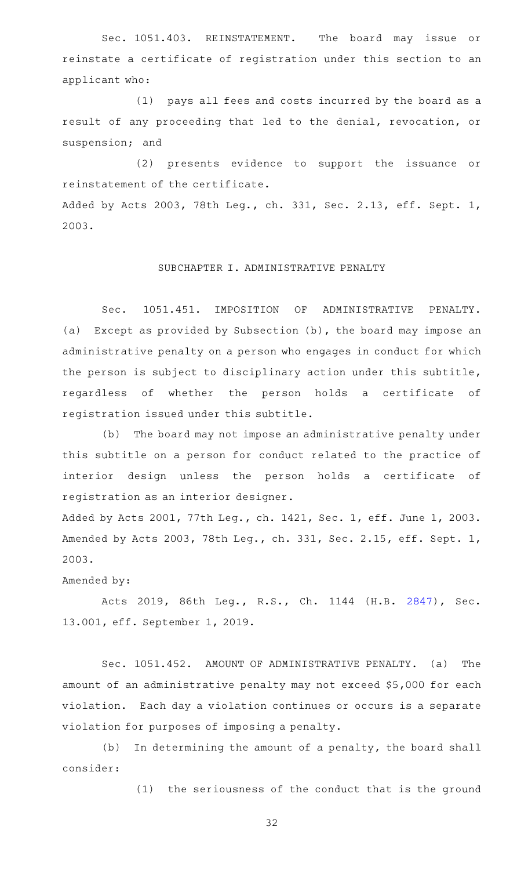Sec. 1051.403. REINSTATEMENT. The board may issue or reinstate a certificate of registration under this section to an applicant who:

(1) pays all fees and costs incurred by the board as a result of any proceeding that led to the denial, revocation, or suspension; and

(2) presents evidence to support the issuance or reinstatement of the certificate.

Added by Acts 2003, 78th Leg., ch. 331, Sec. 2.13, eff. Sept. 1, 2003.

# SUBCHAPTER I. ADMINISTRATIVE PENALTY

Sec. 1051.451. IMPOSITION OF ADMINISTRATIVE PENALTY. (a) Except as provided by Subsection (b), the board may impose an administrative penalty on a person who engages in conduct for which the person is subject to disciplinary action under this subtitle, regardless of whether the person holds a certificate of registration issued under this subtitle.

(b) The board may not impose an administrative penalty under this subtitle on a person for conduct related to the practice of interior design unless the person holds a certificate of registration as an interior designer.

Added by Acts 2001, 77th Leg., ch. 1421, Sec. 1, eff. June 1, 2003. Amended by Acts 2003, 78th Leg., ch. 331, Sec. 2.15, eff. Sept. 1, 2003.

Amended by:

Acts 2019, 86th Leg., R.S., Ch. 1144 (H.B. [2847\)](http://www.legis.state.tx.us/tlodocs/86R/billtext/html/HB02847F.HTM), Sec. 13.001, eff. September 1, 2019.

Sec. 1051.452. AMOUNT OF ADMINISTRATIVE PENALTY. (a) The amount of an administrative penalty may not exceed \$5,000 for each violation. Each day a violation continues or occurs is a separate violation for purposes of imposing a penalty.

 $(b)$  In determining the amount of a penalty, the board shall consider:

(1) the seriousness of the conduct that is the ground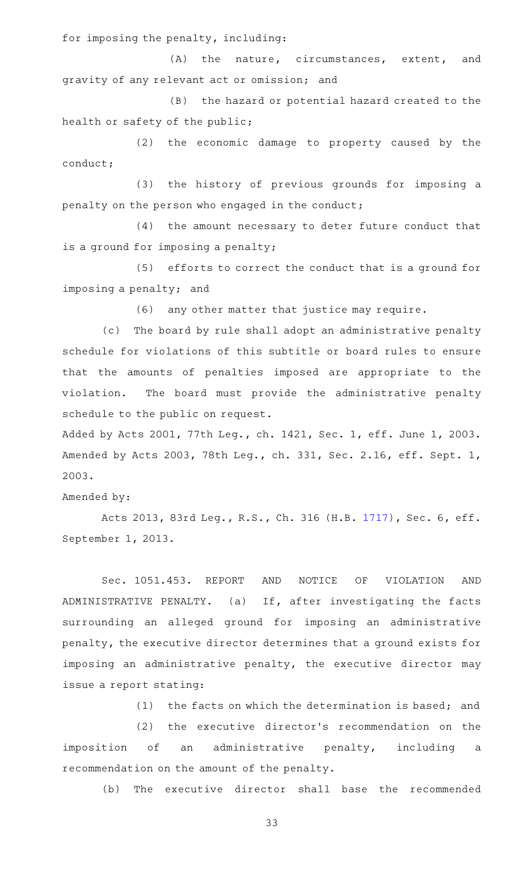for imposing the penalty, including:

(A) the nature, circumstances, extent, and gravity of any relevant act or omission; and

(B) the hazard or potential hazard created to the health or safety of the public;

(2) the economic damage to property caused by the conduct;

(3) the history of previous grounds for imposing a penalty on the person who engaged in the conduct;

(4) the amount necessary to deter future conduct that is a ground for imposing a penalty;

(5) efforts to correct the conduct that is a ground for imposing a penalty; and

(6) any other matter that justice may require.

(c) The board by rule shall adopt an administrative penalty schedule for violations of this subtitle or board rules to ensure that the amounts of penalties imposed are appropriate to the violation. The board must provide the administrative penalty schedule to the public on request.

Added by Acts 2001, 77th Leg., ch. 1421, Sec. 1, eff. June 1, 2003. Amended by Acts 2003, 78th Leg., ch. 331, Sec. 2.16, eff. Sept. 1, 2003.

Amended by:

Acts 2013, 83rd Leg., R.S., Ch. 316 (H.B. [1717](http://www.legis.state.tx.us/tlodocs/83R/billtext/html/HB01717F.HTM)), Sec. 6, eff. September 1, 2013.

Sec. 1051.453. REPORT AND NOTICE OF VIOLATION AND ADMINISTRATIVE PENALTY. (a) If, after investigating the facts surrounding an alleged ground for imposing an administrative penalty, the executive director determines that a ground exists for imposing an administrative penalty, the executive director may issue a report stating:

(1) the facts on which the determination is based; and

(2) the executive director's recommendation on the imposition of an administrative penalty, including a recommendation on the amount of the penalty.

(b) The executive director shall base the recommended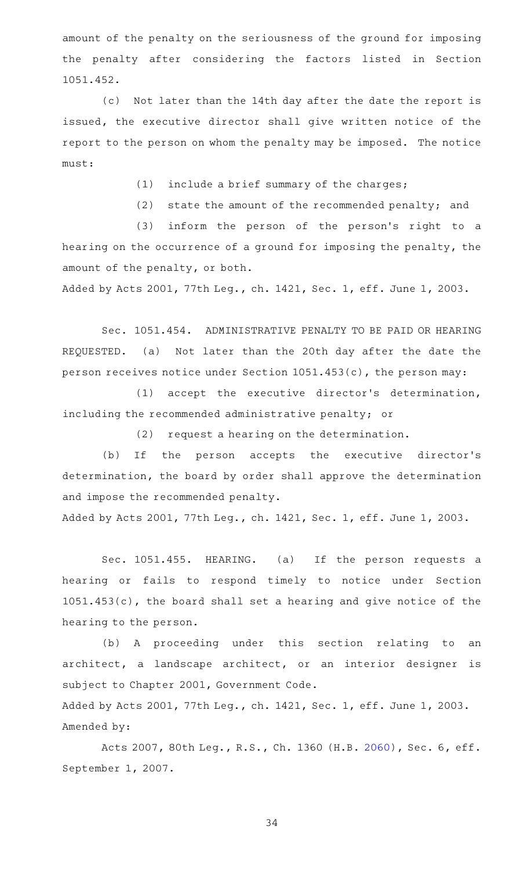amount of the penalty on the seriousness of the ground for imposing the penalty after considering the factors listed in Section 1051.452.

(c) Not later than the 14th day after the date the report is issued, the executive director shall give written notice of the report to the person on whom the penalty may be imposed. The notice must:

 $(1)$  include a brief summary of the charges;

(2) state the amount of the recommended penalty; and

(3) inform the person of the person's right to a hearing on the occurrence of a ground for imposing the penalty, the amount of the penalty, or both.

Added by Acts 2001, 77th Leg., ch. 1421, Sec. 1, eff. June 1, 2003.

Sec. 1051.454. ADMINISTRATIVE PENALTY TO BE PAID OR HEARING REQUESTED. (a) Not later than the 20th day after the date the person receives notice under Section 1051.453(c), the person may:

(1) accept the executive director's determination, including the recommended administrative penalty; or

(2) request a hearing on the determination.

(b) If the person accepts the executive director's determination, the board by order shall approve the determination and impose the recommended penalty.

Added by Acts 2001, 77th Leg., ch. 1421, Sec. 1, eff. June 1, 2003.

Sec. 1051.455. HEARING. (a) If the person requests a hearing or fails to respond timely to notice under Section 1051.453(c), the board shall set a hearing and give notice of the hearing to the person.

(b) A proceeding under this section relating to an architect, a landscape architect, or an interior designer is subject to Chapter 2001, Government Code.

Added by Acts 2001, 77th Leg., ch. 1421, Sec. 1, eff. June 1, 2003. Amended by:

Acts 2007, 80th Leg., R.S., Ch. 1360 (H.B. [2060](http://www.legis.state.tx.us/tlodocs/80R/billtext/html/HB02060F.HTM)), Sec. 6, eff. September 1, 2007.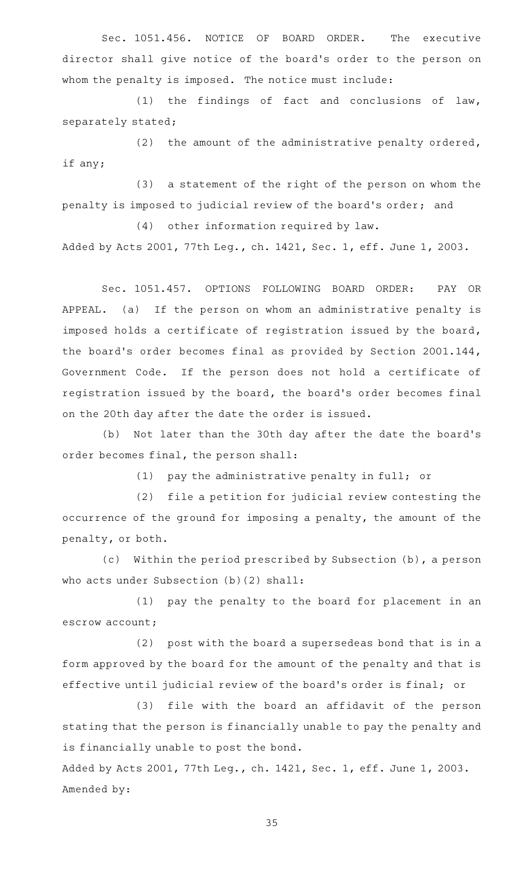Sec. 1051.456. NOTICE OF BOARD ORDER. The executive director shall give notice of the board's order to the person on whom the penalty is imposed. The notice must include:

(1) the findings of fact and conclusions of law, separately stated;

(2) the amount of the administrative penalty ordered, if any;

(3) a statement of the right of the person on whom the penalty is imposed to judicial review of the board 's order; and

 $(4)$  other information required by law. Added by Acts 2001, 77th Leg., ch. 1421, Sec. 1, eff. June 1, 2003.

Sec. 1051.457. OPTIONS FOLLOWING BOARD ORDER: PAY OR APPEAL. (a) If the person on whom an administrative penalty is imposed holds a certificate of registration issued by the board, the board's order becomes final as provided by Section 2001.144, Government Code. If the person does not hold a certificate of registration issued by the board, the board's order becomes final on the 20th day after the date the order is issued.

(b) Not later than the 30th day after the date the board's order becomes final, the person shall:

 $(1)$  pay the administrative penalty in full; or

(2) file a petition for judicial review contesting the occurrence of the ground for imposing a penalty, the amount of the penalty, or both.

(c) Within the period prescribed by Subsection (b), a person who acts under Subsection (b)(2) shall:

(1) pay the penalty to the board for placement in an escrow account;

 $(2)$  post with the board a supersedeas bond that is in a form approved by the board for the amount of the penalty and that is effective until judicial review of the board's order is final; or

(3) file with the board an affidavit of the person stating that the person is financially unable to pay the penalty and is financially unable to post the bond.

Added by Acts 2001, 77th Leg., ch. 1421, Sec. 1, eff. June 1, 2003. Amended by: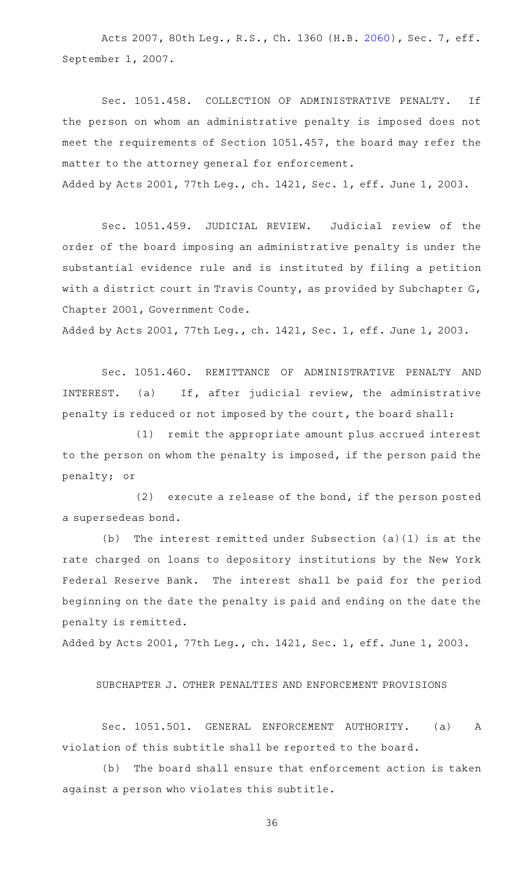Acts 2007, 80th Leg., R.S., Ch. 1360 (H.B. [2060](http://www.legis.state.tx.us/tlodocs/80R/billtext/html/HB02060F.HTM)), Sec. 7, eff. September 1, 2007.

Sec. 1051.458. COLLECTION OF ADMINISTRATIVE PENALTY. If the person on whom an administrative penalty is imposed does not meet the requirements of Section 1051.457, the board may refer the matter to the attorney general for enforcement. Added by Acts 2001, 77th Leg., ch. 1421, Sec. 1, eff. June 1, 2003.

Sec. 1051.459. JUDICIAL REVIEW. Judicial review of the order of the board imposing an administrative penalty is under the substantial evidence rule and is instituted by filing a petition with a district court in Travis County, as provided by Subchapter G, Chapter 2001, Government Code.

Added by Acts 2001, 77th Leg., ch. 1421, Sec. 1, eff. June 1, 2003.

Sec. 1051.460. REMITTANCE OF ADMINISTRATIVE PENALTY AND INTEREST. (a) If, after judicial review, the administrative penalty is reduced or not imposed by the court, the board shall:

 $(1)$  remit the appropriate amount plus accrued interest to the person on whom the penalty is imposed, if the person paid the penalty; or

 $(2)$  execute a release of the bond, if the person posted a supersedeas bond.

(b) The interest remitted under Subsection (a)(1) is at the rate charged on loans to depository institutions by the New York Federal Reserve Bank. The interest shall be paid for the period beginning on the date the penalty is paid and ending on the date the penalty is remitted.

Added by Acts 2001, 77th Leg., ch. 1421, Sec. 1, eff. June 1, 2003.

SUBCHAPTER J. OTHER PENALTIES AND ENFORCEMENT PROVISIONS

Sec. 1051.501. GENERAL ENFORCEMENT AUTHORITY. (a) A violation of this subtitle shall be reported to the board.

(b) The board shall ensure that enforcement action is taken against a person who violates this subtitle.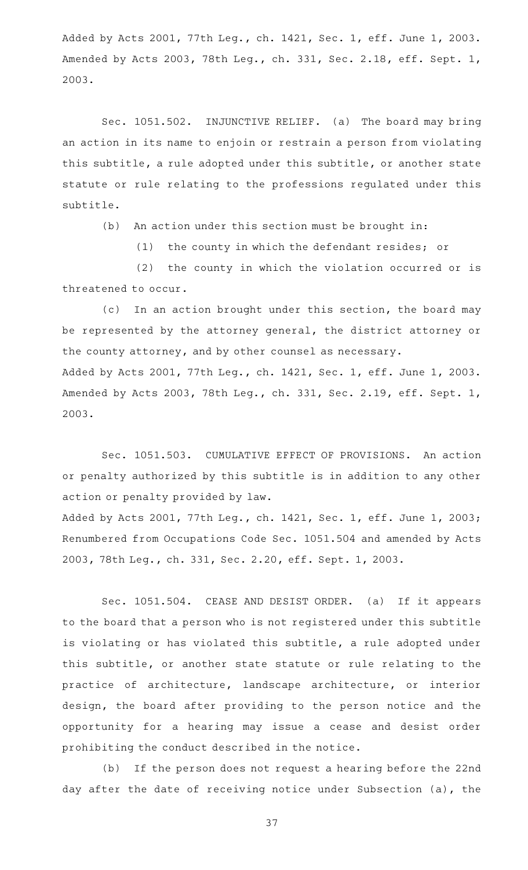Added by Acts 2001, 77th Leg., ch. 1421, Sec. 1, eff. June 1, 2003. Amended by Acts 2003, 78th Leg., ch. 331, Sec. 2.18, eff. Sept. 1, 2003.

Sec. 1051.502. INJUNCTIVE RELIEF. (a) The board may bring an action in its name to enjoin or restrain a person from violating this subtitle, a rule adopted under this subtitle, or another state statute or rule relating to the professions regulated under this subtitle.

(b) An action under this section must be brought in:

 $(1)$  the county in which the defendant resides; or

(2) the county in which the violation occurred or is threatened to occur.

(c) In an action brought under this section, the board may be represented by the attorney general, the district attorney or the county attorney, and by other counsel as necessary. Added by Acts 2001, 77th Leg., ch. 1421, Sec. 1, eff. June 1, 2003. Amended by Acts 2003, 78th Leg., ch. 331, Sec. 2.19, eff. Sept. 1, 2003.

Sec. 1051.503. CUMULATIVE EFFECT OF PROVISIONS. An action or penalty authorized by this subtitle is in addition to any other action or penalty provided by law.

Added by Acts 2001, 77th Leg., ch. 1421, Sec. 1, eff. June 1, 2003; Renumbered from Occupations Code Sec. 1051.504 and amended by Acts 2003, 78th Leg., ch. 331, Sec. 2.20, eff. Sept. 1, 2003.

Sec. 1051.504. CEASE AND DESIST ORDER. (a) If it appears to the board that a person who is not registered under this subtitle is violating or has violated this subtitle, a rule adopted under this subtitle, or another state statute or rule relating to the practice of architecture, landscape architecture, or interior design, the board after providing to the person notice and the opportunity for a hearing may issue a cease and desist order prohibiting the conduct described in the notice.

(b) If the person does not request a hearing before the 22nd day after the date of receiving notice under Subsection (a), the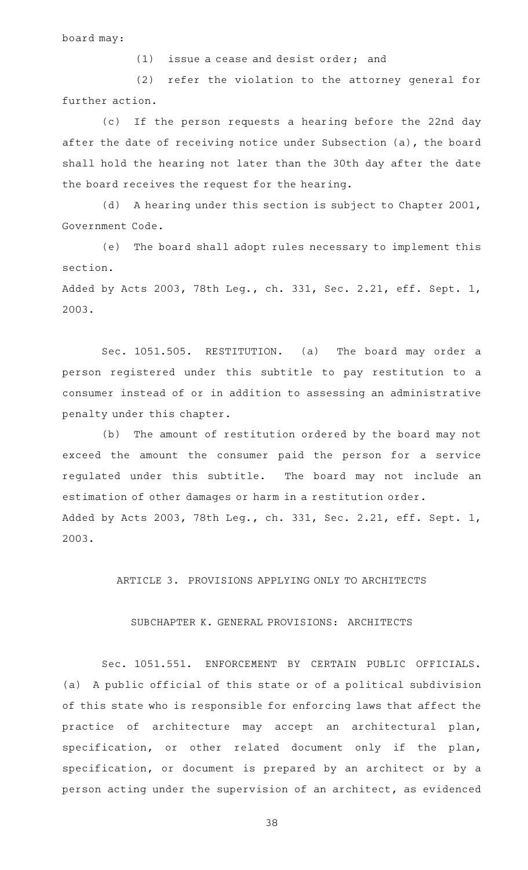board may:

 $(1)$  issue a cease and desist order; and

(2) refer the violation to the attorney general for further action.

(c) If the person requests a hearing before the 22nd day after the date of receiving notice under Subsection (a), the board shall hold the hearing not later than the 30th day after the date the board receives the request for the hearing.

(d) A hearing under this section is subject to Chapter 2001, Government Code.

(e) The board shall adopt rules necessary to implement this section.

Added by Acts 2003, 78th Leg., ch. 331, Sec. 2.21, eff. Sept. 1, 2003.

Sec. 1051.505. RESTITUTION. (a) The board may order a person registered under this subtitle to pay restitution to a consumer instead of or in addition to assessing an administrative penalty under this chapter.

(b) The amount of restitution ordered by the board may not exceed the amount the consumer paid the person for a service regulated under this subtitle. The board may not include an estimation of other damages or harm in a restitution order. Added by Acts 2003, 78th Leg., ch. 331, Sec. 2.21, eff. Sept. 1, 2003.

ARTICLE 3. PROVISIONS APPLYING ONLY TO ARCHITECTS

#### SUBCHAPTER K. GENERAL PROVISIONS: ARCHITECTS

Sec. 1051.551. ENFORCEMENT BY CERTAIN PUBLIC OFFICIALS. (a) A public official of this state or of a political subdivision of this state who is responsible for enforcing laws that affect the practice of architecture may accept an architectural plan, specification, or other related document only if the plan, specification, or document is prepared by an architect or by a person acting under the supervision of an architect, as evidenced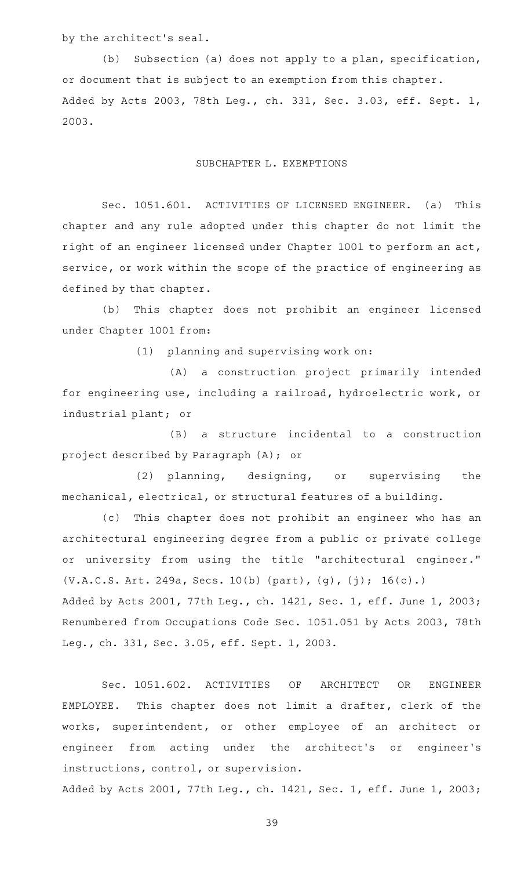by the architect 's seal.

(b) Subsection (a) does not apply to a plan, specification, or document that is subject to an exemption from this chapter. Added by Acts 2003, 78th Leg., ch. 331, Sec. 3.03, eff. Sept. 1, 2003.

### SUBCHAPTER L. EXEMPTIONS

Sec. 1051.601. ACTIVITIES OF LICENSED ENGINEER. (a) This chapter and any rule adopted under this chapter do not limit the right of an engineer licensed under Chapter 1001 to perform an act, service, or work within the scope of the practice of engineering as defined by that chapter.

(b) This chapter does not prohibit an engineer licensed under Chapter 1001 from:

 $(1)$  planning and supervising work on:

(A) a construction project primarily intended for engineering use, including a railroad, hydroelectric work, or industrial plant; or

(B) a structure incidental to a construction project described by Paragraph (A); or

(2) planning, designing, or supervising the mechanical, electrical, or structural features of a building.

(c) This chapter does not prohibit an engineer who has an architectural engineering degree from a public or private college or university from using the title "architectural engineer." (V.A.C.S. Art. 249a, Secs. 10(b) (part), (g), (j); 16(c).) Added by Acts 2001, 77th Leg., ch. 1421, Sec. 1, eff. June 1, 2003; Renumbered from Occupations Code Sec. 1051.051 by Acts 2003, 78th Leg., ch. 331, Sec. 3.05, eff. Sept. 1, 2003.

Sec. 1051.602. ACTIVITIES OF ARCHITECT OR ENGINEER EMPLOYEE. This chapter does not limit a drafter, clerk of the works, superintendent, or other employee of an architect or engineer from acting under the architect 's or engineer 's instructions, control, or supervision.

Added by Acts 2001, 77th Leg., ch. 1421, Sec. 1, eff. June 1, 2003;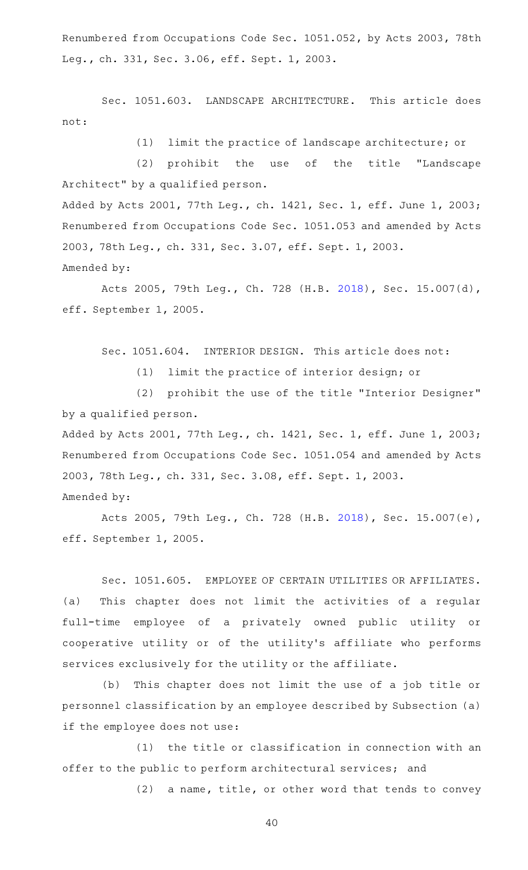Renumbered from Occupations Code Sec. 1051.052, by Acts 2003, 78th Leg., ch. 331, Sec. 3.06, eff. Sept. 1, 2003.

Sec. 1051.603. LANDSCAPE ARCHITECTURE. This article does not:

(1) limit the practice of landscape architecture; or

(2) prohibit the use of the title "Landscape Architect" by a qualified person. Added by Acts 2001, 77th Leg., ch. 1421, Sec. 1, eff. June 1, 2003;

Renumbered from Occupations Code Sec. 1051.053 and amended by Acts 2003, 78th Leg., ch. 331, Sec. 3.07, eff. Sept. 1, 2003.

Amended by:

Acts 2005, 79th Leg., Ch. 728 (H.B. [2018\)](http://www.legis.state.tx.us/tlodocs/79R/billtext/html/HB02018F.HTM), Sec. 15.007(d), eff. September 1, 2005.

Sec. 1051.604. INTERIOR DESIGN. This article does not:

(1) limit the practice of interior design; or

(2) prohibit the use of the title "Interior Designer" by a qualified person.

Added by Acts 2001, 77th Leg., ch. 1421, Sec. 1, eff. June 1, 2003; Renumbered from Occupations Code Sec. 1051.054 and amended by Acts 2003, 78th Leg., ch. 331, Sec. 3.08, eff. Sept. 1, 2003. Amended by:

Acts 2005, 79th Leg., Ch. 728 (H.B. [2018\)](http://www.legis.state.tx.us/tlodocs/79R/billtext/html/HB02018F.HTM), Sec. 15.007(e), eff. September 1, 2005.

Sec. 1051.605. EMPLOYEE OF CERTAIN UTILITIES OR AFFILIATES. (a) This chapter does not limit the activities of a regular full-time employee of a privately owned public utility or cooperative utility or of the utility 's affiliate who performs services exclusively for the utility or the affiliate.

(b) This chapter does not limit the use of a job title or personnel classification by an employee described by Subsection (a) if the employee does not use:

(1) the title or classification in connection with an offer to the public to perform architectural services; and

(2) a name, title, or other word that tends to convey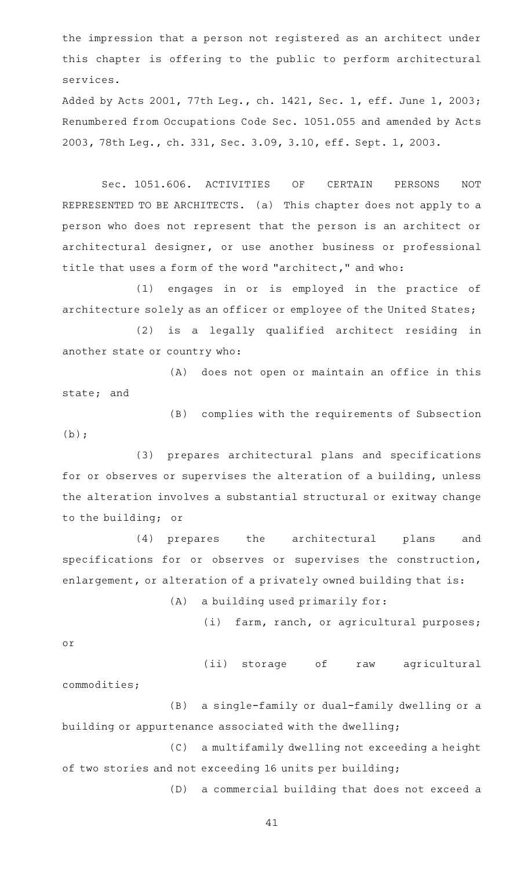the impression that a person not registered as an architect under this chapter is offering to the public to perform architectural services.

Added by Acts 2001, 77th Leg., ch. 1421, Sec. 1, eff. June 1, 2003; Renumbered from Occupations Code Sec. 1051.055 and amended by Acts 2003, 78th Leg., ch. 331, Sec. 3.09, 3.10, eff. Sept. 1, 2003.

Sec. 1051.606. ACTIVITIES OF CERTAIN PERSONS NOT REPRESENTED TO BE ARCHITECTS. (a) This chapter does not apply to a person who does not represent that the person is an architect or architectural designer, or use another business or professional title that uses a form of the word "architect," and who:

(1) engages in or is employed in the practice of architecture solely as an officer or employee of the United States;

(2) is a legally qualified architect residing in another state or country who:

(A) does not open or maintain an office in this state; and

(B) complies with the requirements of Subsection  $(b)$ ;

(3) prepares architectural plans and specifications for or observes or supervises the alteration of a building, unless the alteration involves a substantial structural or exitway change to the building; or

(4) prepares the architectural plans and specifications for or observes or supervises the construction, enlargement, or alteration of a privately owned building that is:

 $(A)$  a building used primarily for:

(i) farm, ranch, or agricultural purposes;

or

(ii) storage of raw agricultural

commodities;

(B) a single-family or dual-family dwelling or a building or appurtenance associated with the dwelling;

(C) a multifamily dwelling not exceeding a height of two stories and not exceeding 16 units per building;

(D) a commercial building that does not exceed a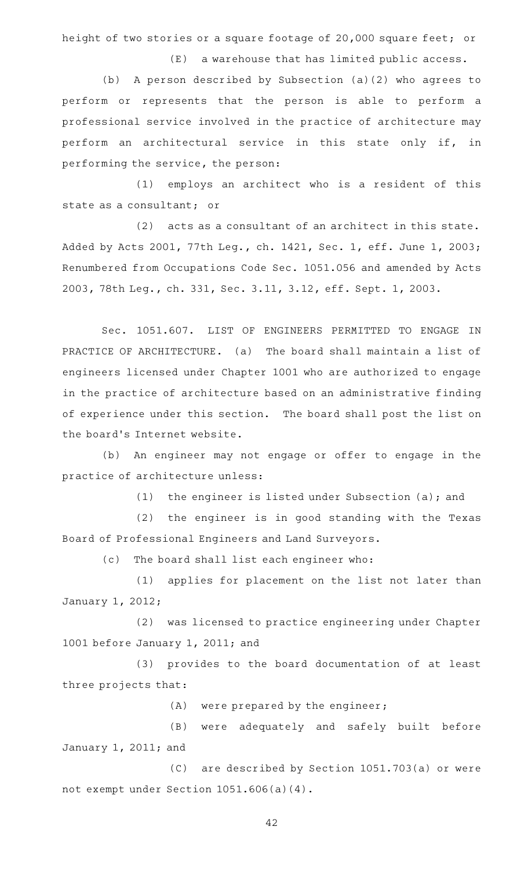height of two stories or a square footage of 20,000 square feet; or

 $(E)$  a warehouse that has limited public access.

(b) A person described by Subsection (a)(2) who agrees to perform or represents that the person is able to perform a professional service involved in the practice of architecture may perform an architectural service in this state only if, in performing the service, the person:

(1) employs an architect who is a resident of this state as a consultant; or

 $(2)$  acts as a consultant of an architect in this state. Added by Acts 2001, 77th Leg., ch. 1421, Sec. 1, eff. June 1, 2003; Renumbered from Occupations Code Sec. 1051.056 and amended by Acts 2003, 78th Leg., ch. 331, Sec. 3.11, 3.12, eff. Sept. 1, 2003.

Sec. 1051.607. LIST OF ENGINEERS PERMITTED TO ENGAGE IN PRACTICE OF ARCHITECTURE. (a) The board shall maintain a list of engineers licensed under Chapter 1001 who are authorized to engage in the practice of architecture based on an administrative finding of experience under this section. The board shall post the list on the board's Internet website.

(b) An engineer may not engage or offer to engage in the practice of architecture unless:

(1) the engineer is listed under Subsection (a); and

(2) the engineer is in good standing with the Texas Board of Professional Engineers and Land Surveyors.

(c) The board shall list each engineer who:

(1) applies for placement on the list not later than January 1, 2012;

(2) was licensed to practice engineering under Chapter 1001 before January 1, 2011; and

(3) provides to the board documentation of at least three projects that:

 $(A)$  were prepared by the engineer;

(B) were adequately and safely built before January 1, 2011; and

(C) are described by Section 1051.703(a) or were not exempt under Section 1051.606(a)(4).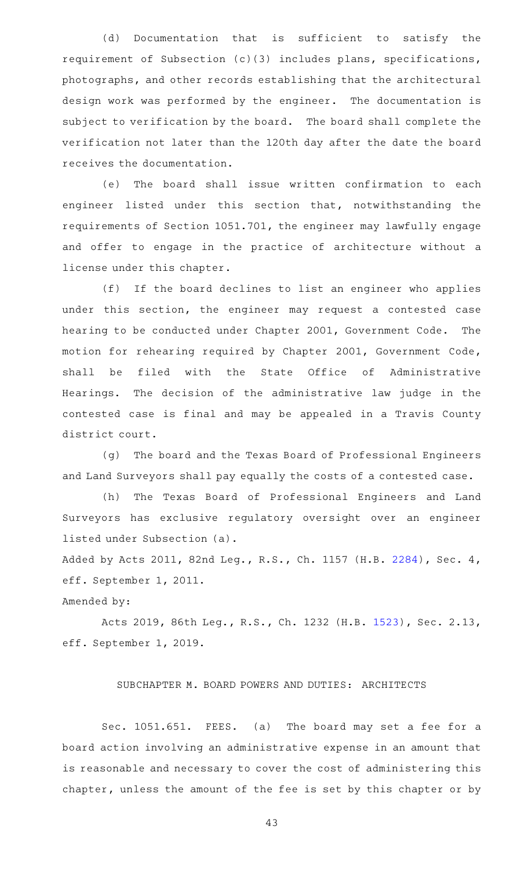(d) Documentation that is sufficient to satisfy the requirement of Subsection (c)(3) includes plans, specifications, photographs, and other records establishing that the architectural design work was performed by the engineer. The documentation is subject to verification by the board. The board shall complete the verification not later than the 120th day after the date the board receives the documentation.

(e) The board shall issue written confirmation to each engineer listed under this section that, notwithstanding the requirements of Section 1051.701, the engineer may lawfully engage and offer to engage in the practice of architecture without a license under this chapter.

(f) If the board declines to list an engineer who applies under this section, the engineer may request a contested case hearing to be conducted under Chapter 2001, Government Code. The motion for rehearing required by Chapter 2001, Government Code, shall be filed with the State Office of Administrative Hearings. The decision of the administrative law judge in the contested case is final and may be appealed in a Travis County district court.

(g) The board and the Texas Board of Professional Engineers and Land Surveyors shall pay equally the costs of a contested case.

(h) The Texas Board of Professional Engineers and Land Surveyors has exclusive regulatory oversight over an engineer listed under Subsection (a).

Added by Acts 2011, 82nd Leg., R.S., Ch. 1157 (H.B. [2284\)](http://www.legis.state.tx.us/tlodocs/82R/billtext/html/HB02284F.HTM), Sec. 4, eff. September 1, 2011.

## Amended by:

Acts 2019, 86th Leg., R.S., Ch. 1232 (H.B. [1523](http://www.legis.state.tx.us/tlodocs/86R/billtext/html/HB01523F.HTM)), Sec. 2.13, eff. September 1, 2019.

## SUBCHAPTER M. BOARD POWERS AND DUTIES: ARCHITECTS

Sec. 1051.651. FEES. (a) The board may set a fee for a board action involving an administrative expense in an amount that is reasonable and necessary to cover the cost of administering this chapter, unless the amount of the fee is set by this chapter or by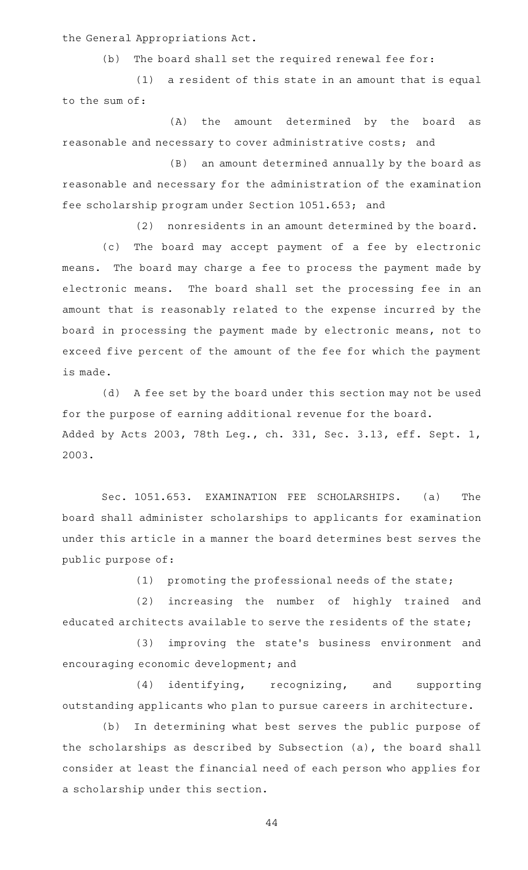the General Appropriations Act.

 $(b)$  The board shall set the required renewal fee for:

 $(1)$  a resident of this state in an amount that is equal to the sum of:

(A) the amount determined by the board as reasonable and necessary to cover administrative costs; and

(B) an amount determined annually by the board as reasonable and necessary for the administration of the examination fee scholarship program under Section 1051.653; and

(2) nonresidents in an amount determined by the board.

(c) The board may accept payment of a fee by electronic means. The board may charge a fee to process the payment made by electronic means. The board shall set the processing fee in an amount that is reasonably related to the expense incurred by the board in processing the payment made by electronic means, not to exceed five percent of the amount of the fee for which the payment is made.

(d) A fee set by the board under this section may not be used for the purpose of earning additional revenue for the board. Added by Acts 2003, 78th Leg., ch. 331, Sec. 3.13, eff. Sept. 1, 2003.

Sec. 1051.653. EXAMINATION FEE SCHOLARSHIPS. (a) The board shall administer scholarships to applicants for examination under this article in a manner the board determines best serves the public purpose of:

 $(1)$  promoting the professional needs of the state;

(2) increasing the number of highly trained and educated architects available to serve the residents of the state;

(3) improving the state's business environment and encouraging economic development; and

(4) identifying, recognizing, and supporting outstanding applicants who plan to pursue careers in architecture.

(b) In determining what best serves the public purpose of the scholarships as described by Subsection (a), the board shall consider at least the financial need of each person who applies for a scholarship under this section.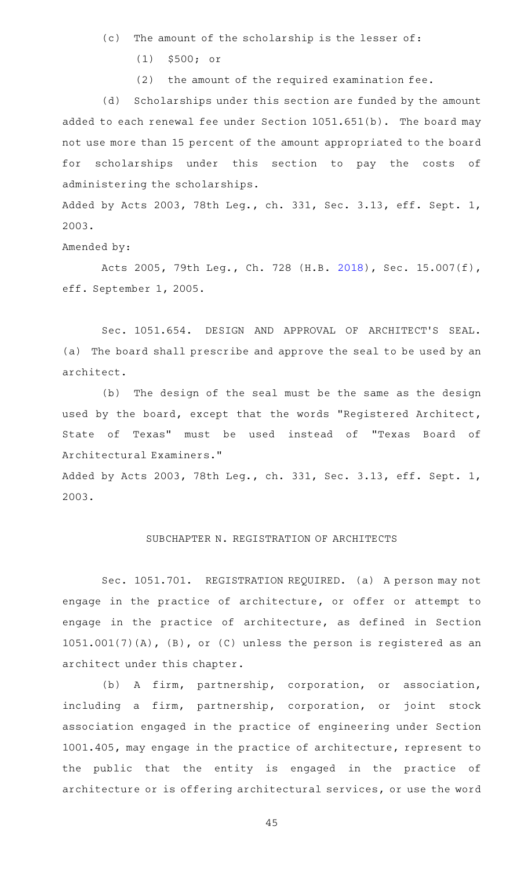- (c) The amount of the scholarship is the lesser of:
	- $(1)$  \$500; or
	- $(2)$  the amount of the required examination fee.

(d) Scholarships under this section are funded by the amount added to each renewal fee under Section 1051.651(b). The board may not use more than 15 percent of the amount appropriated to the board for scholarships under this section to pay the costs of administering the scholarships.

Added by Acts 2003, 78th Leg., ch. 331, Sec. 3.13, eff. Sept. 1, 2003.

Amended by:

Acts 2005, 79th Leg., Ch. 728 (H.B. [2018\)](http://www.legis.state.tx.us/tlodocs/79R/billtext/html/HB02018F.HTM), Sec. 15.007(f), eff. September 1, 2005.

Sec. 1051.654. DESIGN AND APPROVAL OF ARCHITECT'S SEAL. (a) The board shall prescribe and approve the seal to be used by an architect.

(b) The design of the seal must be the same as the design used by the board, except that the words "Registered Architect, State of Texas" must be used instead of "Texas Board of Architectural Examiners."

Added by Acts 2003, 78th Leg., ch. 331, Sec. 3.13, eff. Sept. 1, 2003.

## SUBCHAPTER N. REGISTRATION OF ARCHITECTS

Sec. 1051.701. REGISTRATION REQUIRED. (a) A person may not engage in the practice of architecture, or offer or attempt to engage in the practice of architecture, as defined in Section 1051.001(7)(A), (B), or (C) unless the person is registered as an architect under this chapter.

(b) A firm, partnership, corporation, or association, including a firm, partnership, corporation, or joint stock association engaged in the practice of engineering under Section 1001.405, may engage in the practice of architecture, represent to the public that the entity is engaged in the practice of architecture or is offering architectural services, or use the word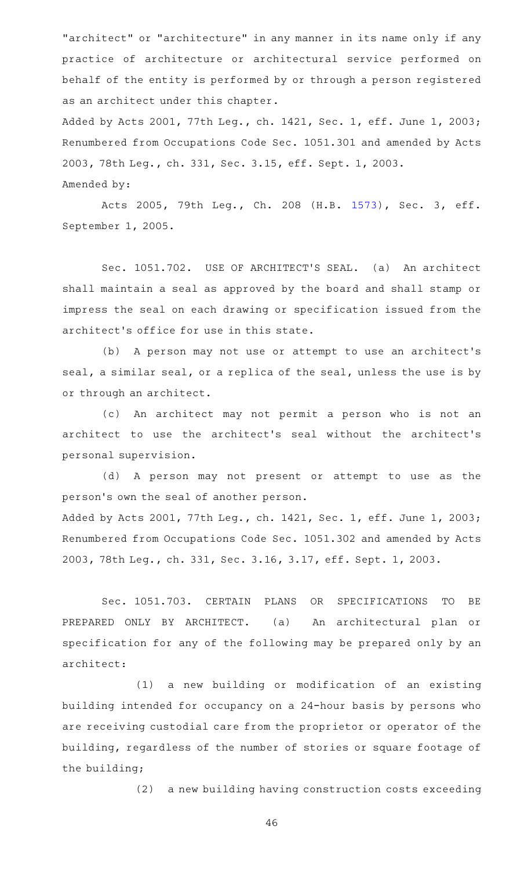"architect" or "architecture" in any manner in its name only if any practice of architecture or architectural service performed on behalf of the entity is performed by or through a person registered as an architect under this chapter.

Added by Acts 2001, 77th Leg., ch. 1421, Sec. 1, eff. June 1, 2003; Renumbered from Occupations Code Sec. 1051.301 and amended by Acts 2003, 78th Leg., ch. 331, Sec. 3.15, eff. Sept. 1, 2003. Amended by:

Acts 2005, 79th Leg., Ch. 208 (H.B. [1573](http://www.legis.state.tx.us/tlodocs/79R/billtext/html/HB01573F.HTM)), Sec. 3, eff. September 1, 2005.

Sec. 1051.702. USE OF ARCHITECT'S SEAL. (a) An architect shall maintain a seal as approved by the board and shall stamp or impress the seal on each drawing or specification issued from the architect 's office for use in this state.

(b) A person may not use or attempt to use an architect's seal, a similar seal, or a replica of the seal, unless the use is by or through an architect.

(c) An architect may not permit a person who is not an architect to use the architect 's seal without the architect 's personal supervision.

(d) A person may not present or attempt to use as the person's own the seal of another person. Added by Acts 2001, 77th Leg., ch. 1421, Sec. 1, eff. June 1, 2003; Renumbered from Occupations Code Sec. 1051.302 and amended by Acts 2003, 78th Leg., ch. 331, Sec. 3.16, 3.17, eff. Sept. 1, 2003.

Sec. 1051.703. CERTAIN PLANS OR SPECIFICATIONS TO BE PREPARED ONLY BY ARCHITECT. (a) An architectural plan or specification for any of the following may be prepared only by an architect:

(1) a new building or modification of an existing building intended for occupancy on a 24-hour basis by persons who are receiving custodial care from the proprietor or operator of the building, regardless of the number of stories or square footage of the building;

(2) a new building having construction costs exceeding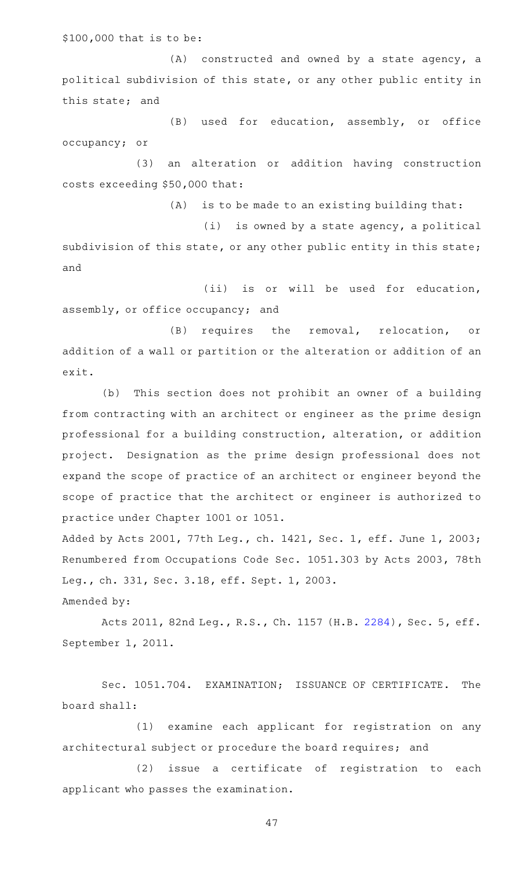\$100,000 that is to be:

 $(A)$  constructed and owned by a state agency, a political subdivision of this state, or any other public entity in this state; and

(B) used for education, assembly, or office occupancy; or

(3) an alteration or addition having construction costs exceeding \$50,000 that:

 $(A)$  is to be made to an existing building that:

 $(i)$  is owned by a state agency, a political subdivision of this state, or any other public entity in this state; and

(ii) is or will be used for education, assembly, or office occupancy; and

(B) requires the removal, relocation, or addition of a wall or partition or the alteration or addition of an exit.

(b) This section does not prohibit an owner of a building from contracting with an architect or engineer as the prime design professional for a building construction, alteration, or addition project. Designation as the prime design professional does not expand the scope of practice of an architect or engineer beyond the scope of practice that the architect or engineer is authorized to practice under Chapter 1001 or 1051.

Added by Acts 2001, 77th Leg., ch. 1421, Sec. 1, eff. June 1, 2003; Renumbered from Occupations Code Sec. 1051.303 by Acts 2003, 78th Leg., ch. 331, Sec. 3.18, eff. Sept. 1, 2003.

Amended by:

Acts 2011, 82nd Leg., R.S., Ch. 1157 (H.B. [2284](http://www.legis.state.tx.us/tlodocs/82R/billtext/html/HB02284F.HTM)), Sec. 5, eff. September 1, 2011.

Sec. 1051.704. EXAMINATION; ISSUANCE OF CERTIFICATE. The board shall:

(1) examine each applicant for registration on any architectural subject or procedure the board requires; and

(2) issue a certificate of registration to each applicant who passes the examination.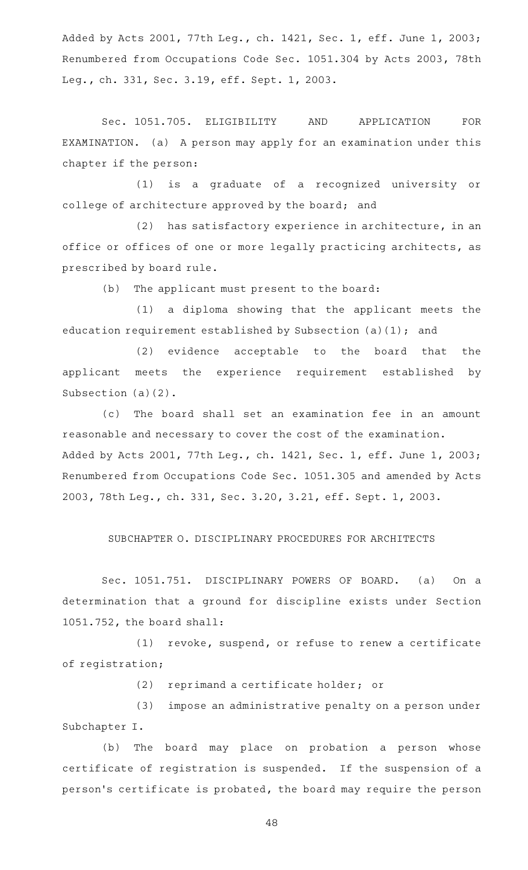Added by Acts 2001, 77th Leg., ch. 1421, Sec. 1, eff. June 1, 2003; Renumbered from Occupations Code Sec. 1051.304 by Acts 2003, 78th Leg., ch. 331, Sec. 3.19, eff. Sept. 1, 2003.

Sec. 1051.705. ELIGIBILITY AND APPLICATION FOR EXAMINATION. (a) A person may apply for an examination under this chapter if the person:

(1) is a graduate of a recognized university or college of architecture approved by the board; and

(2) has satisfactory experience in architecture, in an office or offices of one or more legally practicing architects, as prescribed by board rule.

(b) The applicant must present to the board:

(1) a diploma showing that the applicant meets the education requirement established by Subsection (a)(1); and

(2) evidence acceptable to the board that the applicant meets the experience requirement established by Subsection (a)(2).

(c) The board shall set an examination fee in an amount reasonable and necessary to cover the cost of the examination. Added by Acts 2001, 77th Leg., ch. 1421, Sec. 1, eff. June 1, 2003; Renumbered from Occupations Code Sec. 1051.305 and amended by Acts 2003, 78th Leg., ch. 331, Sec. 3.20, 3.21, eff. Sept. 1, 2003.

## SUBCHAPTER O. DISCIPLINARY PROCEDURES FOR ARCHITECTS

Sec. 1051.751. DISCIPLINARY POWERS OF BOARD. (a) On a determination that a ground for discipline exists under Section 1051.752, the board shall:

 $(1)$  revoke, suspend, or refuse to renew a certificate of registration;

(2) reprimand a certificate holder; or

(3) impose an administrative penalty on a person under Subchapter I.

(b) The board may place on probation a person whose certificate of registration is suspended. If the suspension of a person 's certificate is probated, the board may require the person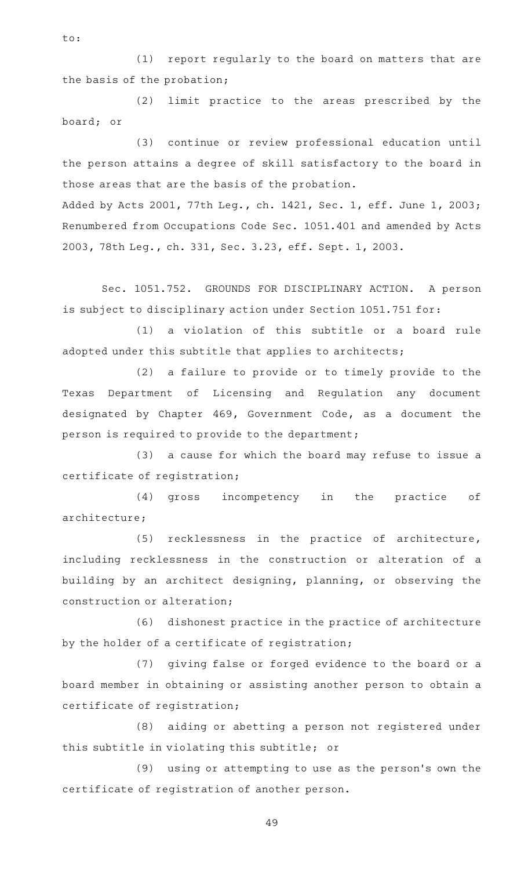(1) report regularly to the board on matters that are the basis of the probation;

(2) limit practice to the areas prescribed by the board; or

(3) continue or review professional education until the person attains a degree of skill satisfactory to the board in those areas that are the basis of the probation.

Added by Acts 2001, 77th Leg., ch. 1421, Sec. 1, eff. June 1, 2003; Renumbered from Occupations Code Sec. 1051.401 and amended by Acts 2003, 78th Leg., ch. 331, Sec. 3.23, eff. Sept. 1, 2003.

Sec. 1051.752. GROUNDS FOR DISCIPLINARY ACTION. A person is subject to disciplinary action under Section 1051.751 for:

(1) a violation of this subtitle or a board rule adopted under this subtitle that applies to architects;

(2) a failure to provide or to timely provide to the Texas Department of Licensing and Regulation any document designated by Chapter 469, Government Code, as a document the person is required to provide to the department;

(3) a cause for which the board may refuse to issue a certificate of registration;

(4) gross incompetency in the practice of architecture;

(5) recklessness in the practice of architecture, including recklessness in the construction or alteration of a building by an architect designing, planning, or observing the construction or alteration;

(6) dishonest practice in the practice of architecture by the holder of a certificate of registration;

(7) giving false or forged evidence to the board or a board member in obtaining or assisting another person to obtain a certificate of registration;

(8) aiding or abetting a person not registered under this subtitle in violating this subtitle; or

(9) using or attempting to use as the person's own the certificate of registration of another person.

49

to: